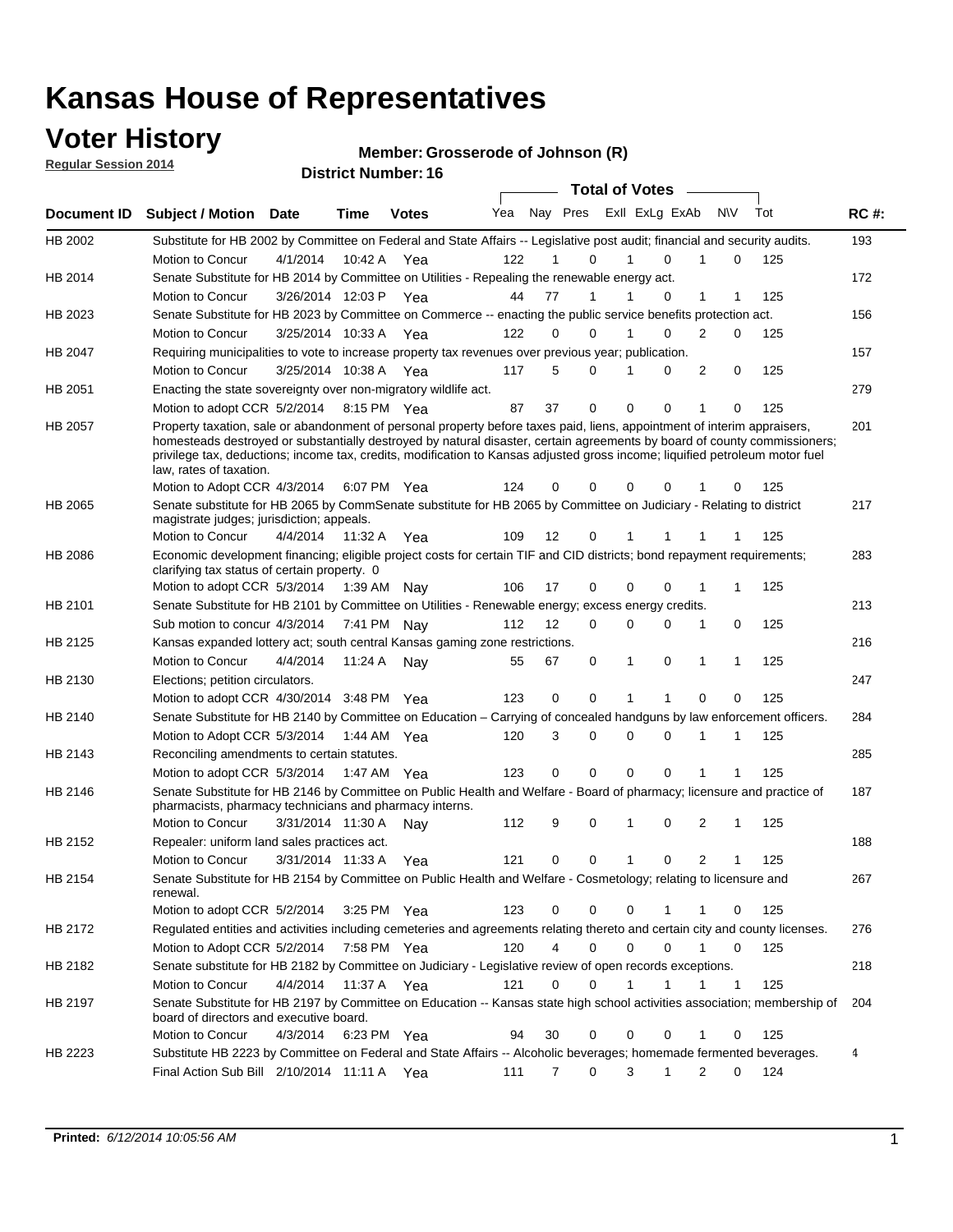## **Voter History**

**Regular Session 2014**

**Member: Grosserode of Johnson (R)** 

| <u>nuyurur ocaalon zu la</u> |                                                                                                                                                                                                                                                                                      |                       |             | <b>District Number: 16</b> |     |                |             |             |                  |              |     |     |             |
|------------------------------|--------------------------------------------------------------------------------------------------------------------------------------------------------------------------------------------------------------------------------------------------------------------------------------|-----------------------|-------------|----------------------------|-----|----------------|-------------|-------------|------------------|--------------|-----|-----|-------------|
|                              |                                                                                                                                                                                                                                                                                      |                       |             |                            |     |                |             |             | Total of Votes – |              |     |     |             |
| <b>Document ID</b>           | <b>Subject / Motion Date</b>                                                                                                                                                                                                                                                         |                       | <b>Time</b> | <b>Votes</b>               | Yea | Nay Pres       |             |             | ExII ExLg ExAb   | <b>NV</b>    | Tot |     | <b>RC#:</b> |
| HB 2002                      | Substitute for HB 2002 by Committee on Federal and State Affairs -- Legislative post audit; financial and security audits.                                                                                                                                                           |                       |             |                            |     |                |             |             |                  |              |     |     | 193         |
|                              | Motion to Concur                                                                                                                                                                                                                                                                     | 4/1/2014              | 10:42 A     | Yea                        | 122 |                | $\Omega$    | 1           | $\Omega$         | 1            | 0   | 125 |             |
| HB 2014                      | Senate Substitute for HB 2014 by Committee on Utilities - Repealing the renewable energy act.                                                                                                                                                                                        |                       |             |                            |     |                |             |             |                  |              |     |     | 172         |
|                              | Motion to Concur                                                                                                                                                                                                                                                                     | 3/26/2014 12:03 P Yea |             |                            | 44  | 77             | 1           |             | 0                | $\mathbf{1}$ | 1   | 125 |             |
| HB 2023                      | Senate Substitute for HB 2023 by Committee on Commerce -- enacting the public service benefits protection act.                                                                                                                                                                       |                       |             |                            |     |                |             |             |                  |              |     |     | 156         |
|                              | Motion to Concur                                                                                                                                                                                                                                                                     | 3/25/2014 10:33 A Yea |             |                            | 122 | $\Omega$       | $\Omega$    | 1           | 0                | 2            | 0   | 125 |             |
| HB 2047                      | Requiring municipalities to vote to increase property tax revenues over previous year; publication.                                                                                                                                                                                  |                       |             |                            |     |                |             |             |                  |              |     |     | 157         |
|                              | Motion to Concur                                                                                                                                                                                                                                                                     | 3/25/2014 10:38 A Yea |             |                            | 117 | 5              | 0           | 1           | 0                | 2            | 0   | 125 |             |
| HB 2051                      | Enacting the state sovereignty over non-migratory wildlife act.                                                                                                                                                                                                                      |                       |             |                            |     |                |             |             |                  |              |     |     | 279         |
|                              | Motion to adopt CCR 5/2/2014 8:15 PM Yea                                                                                                                                                                                                                                             |                       |             |                            | 87  | 37             | 0           | $\mathbf 0$ | 0                |              | 0   | 125 |             |
| HB 2057                      | Property taxation, sale or abandonment of personal property before taxes paid, liens, appointment of interim appraisers,                                                                                                                                                             |                       |             |                            |     |                |             |             |                  |              |     |     | 201         |
|                              | homesteads destroyed or substantially destroyed by natural disaster, certain agreements by board of county commissioners;<br>privilege tax, deductions; income tax, credits, modification to Kansas adjusted gross income; liquified petroleum motor fuel<br>law, rates of taxation. |                       |             |                            |     |                |             |             |                  |              |     |     |             |
|                              | Motion to Adopt CCR 4/3/2014 6:07 PM Yea                                                                                                                                                                                                                                             |                       |             |                            | 124 | 0              | 0           | 0           | U                |              | 0   | 125 |             |
| HB 2065                      | Senate substitute for HB 2065 by CommSenate substitute for HB 2065 by Committee on Judiciary - Relating to district<br>magistrate judges; jurisdiction; appeals.                                                                                                                     |                       |             |                            |     |                |             |             |                  |              |     |     | 217         |
|                              | Motion to Concur                                                                                                                                                                                                                                                                     | 4/4/2014              | 11:32 A     | Yea                        | 109 | 12             | 0           | 1           |                  |              |     | 125 |             |
| HB 2086                      | Economic development financing; eligible project costs for certain TIF and CID districts; bond repayment requirements;<br>clarifying tax status of certain property. 0                                                                                                               |                       |             |                            |     |                |             |             |                  |              |     |     | 283         |
|                              | Motion to adopt CCR 5/3/2014 1:39 AM Nay                                                                                                                                                                                                                                             |                       |             |                            | 106 | 17             | 0           | $\mathbf 0$ | 0                |              | 1   | 125 |             |
| HB 2101                      | Senate Substitute for HB 2101 by Committee on Utilities - Renewable energy; excess energy credits.                                                                                                                                                                                   |                       |             |                            |     |                |             |             |                  |              |     |     | 213         |
|                              | Sub motion to concur 4/3/2014 7:41 PM Nay                                                                                                                                                                                                                                            |                       |             |                            | 112 | 12             | 0           | 0           | 0                | 1            | 0   | 125 |             |
| HB 2125                      | Kansas expanded lottery act; south central Kansas gaming zone restrictions.                                                                                                                                                                                                          |                       |             |                            |     |                |             |             |                  |              |     |     | 216         |
|                              | Motion to Concur                                                                                                                                                                                                                                                                     | 4/4/2014              | 11:24 A     | Nav                        | 55  | 67             | 0           | 1           | 0                | 1            | 1   | 125 |             |
| HB 2130                      | Elections; petition circulators.                                                                                                                                                                                                                                                     |                       |             |                            |     |                |             |             |                  |              |     |     | 247         |
|                              | Motion to adopt CCR 4/30/2014 3:48 PM Yea                                                                                                                                                                                                                                            |                       |             |                            | 123 | 0              | $\mathbf 0$ | 1           | 1                | 0            | 0   | 125 |             |
| HB 2140                      | Senate Substitute for HB 2140 by Committee on Education – Carrying of concealed handguns by law enforcement officers.                                                                                                                                                                |                       |             |                            |     |                |             |             |                  |              |     |     | 284         |
|                              | Motion to Adopt CCR 5/3/2014 1:44 AM Yea                                                                                                                                                                                                                                             |                       |             |                            | 120 | 3              | 0           | 0           | 0                |              |     | 125 |             |
| HB 2143                      | Reconciling amendments to certain statutes.                                                                                                                                                                                                                                          |                       |             |                            |     |                |             |             |                  |              |     |     | 285         |
|                              | Motion to adopt CCR 5/3/2014 1:47 AM Yea                                                                                                                                                                                                                                             |                       |             |                            | 123 | 0              | $\mathbf 0$ | $\mathbf 0$ | 0                |              |     | 125 |             |
| HB 2146                      | Senate Substitute for HB 2146 by Committee on Public Health and Welfare - Board of pharmacy; licensure and practice of<br>pharmacists, pharmacy technicians and pharmacy interns.                                                                                                    |                       |             |                            |     |                |             |             |                  |              |     |     | 187         |
|                              | Motion to Concur                                                                                                                                                                                                                                                                     | 3/31/2014 11:30 A     |             | Nav                        | 112 | 9              | 0           | 1           | 0                | 2            | 1   | 125 |             |
| HB 2152                      | Repealer: uniform land sales practices act.                                                                                                                                                                                                                                          |                       |             |                            |     |                |             |             |                  |              |     |     | 188         |
|                              | Motion to Concur                                                                                                                                                                                                                                                                     | 3/31/2014 11:33 A     |             | Yea                        | 121 | 0              | 0           | 1           | 0                | 2            |     | 125 |             |
| HB 2154                      | Senate Substitute for HB 2154 by Committee on Public Health and Welfare - Cosmetology; relating to licensure and<br>renewal.                                                                                                                                                         |                       |             |                            |     |                |             |             |                  |              |     |     | 267         |
|                              | Motion to adopt CCR 5/2/2014 3:25 PM Yea                                                                                                                                                                                                                                             |                       |             |                            | 123 | 0              | 0           | 0           | 1                | 1            | 0   | 125 |             |
| HB 2172                      | Regulated entities and activities including cemeteries and agreements relating thereto and certain city and county licenses.                                                                                                                                                         |                       |             |                            |     |                |             |             |                  |              |     |     | 276         |
|                              | Motion to Adopt CCR 5/2/2014 7:58 PM Yea                                                                                                                                                                                                                                             |                       |             |                            | 120 | 4              | 0           | $\mathbf 0$ | 0                |              | 0   | 125 |             |
| HB 2182                      | Senate substitute for HB 2182 by Committee on Judiciary - Legislative review of open records exceptions.                                                                                                                                                                             |                       |             |                            |     |                |             |             |                  |              |     |     | 218         |
|                              | Motion to Concur                                                                                                                                                                                                                                                                     | 4/4/2014 11:37 A Yea  |             |                            | 121 | 0              | 0           | 1           | 1                | 1            | 1   | 125 |             |
| HB 2197                      | Senate Substitute for HB 2197 by Committee on Education -- Kansas state high school activities association; membership of<br>board of directors and executive board.                                                                                                                 |                       |             |                            |     |                |             |             |                  |              |     |     | 204         |
|                              | Motion to Concur                                                                                                                                                                                                                                                                     | 4/3/2014              |             | 6:23 PM Yea                | 94  | 30             | 0           | 0           | 0                | $\mathbf{1}$ | 0   | 125 |             |
| HB 2223                      | Substitute HB 2223 by Committee on Federal and State Affairs -- Alcoholic beverages; homemade fermented beverages.                                                                                                                                                                   |                       |             |                            |     |                |             |             |                  |              |     |     | 4           |
|                              | Final Action Sub Bill 2/10/2014 11:11 A Yea                                                                                                                                                                                                                                          |                       |             |                            | 111 | $\overline{7}$ | 0           | 3           | 1                | 2            | 0   | 124 |             |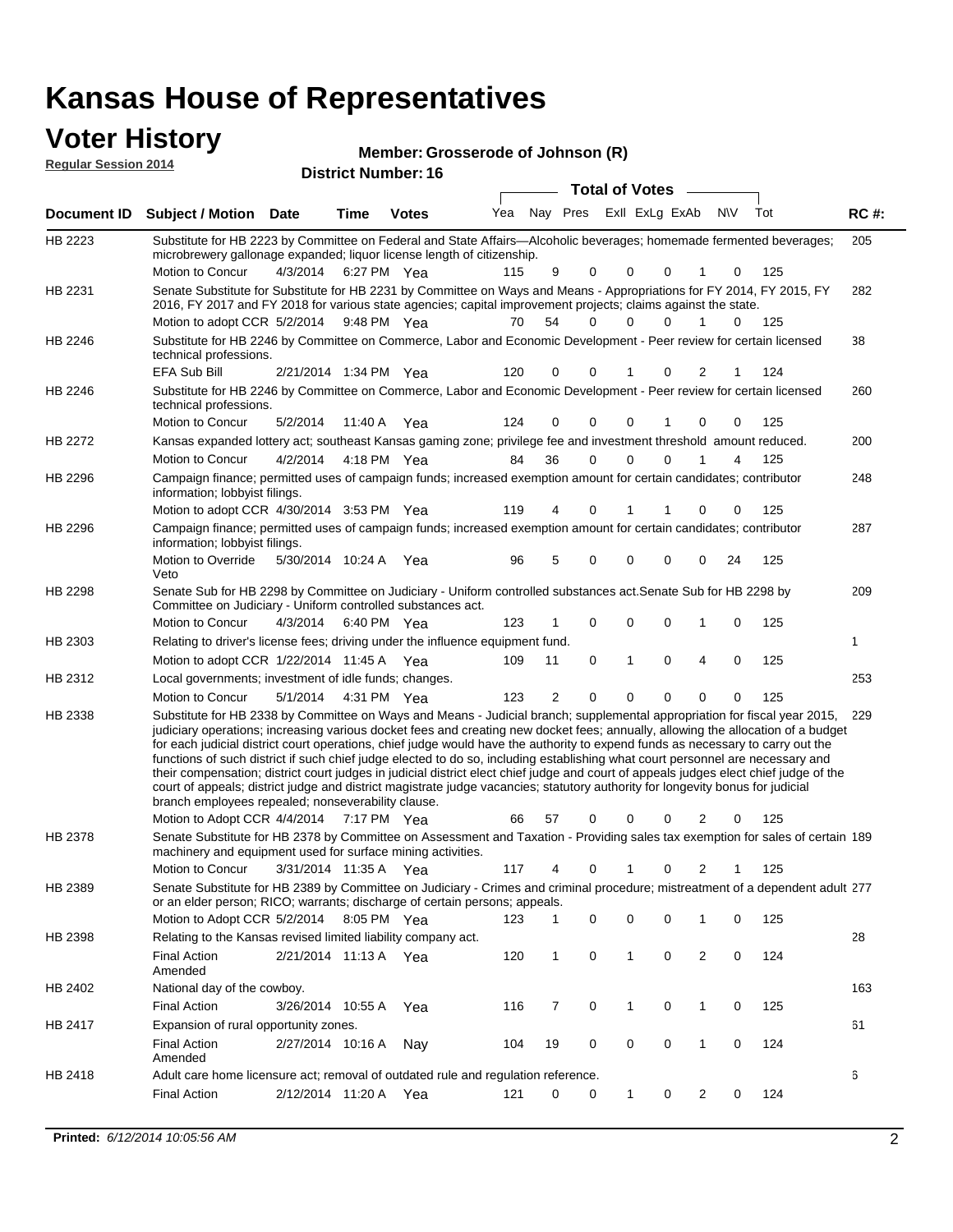# **Voter History**<br> **Regular Session 2014**

|                             |                                                                                                                                                                                                                                                                                                                                                                                                                                                                                                                                                                                                                                                                                                                                                                                                                                                                                                     |                       |      |                            | Member: Grosserode of Johnson (R) |    |                         |   |                       |          |                |             |     |             |
|-----------------------------|-----------------------------------------------------------------------------------------------------------------------------------------------------------------------------------------------------------------------------------------------------------------------------------------------------------------------------------------------------------------------------------------------------------------------------------------------------------------------------------------------------------------------------------------------------------------------------------------------------------------------------------------------------------------------------------------------------------------------------------------------------------------------------------------------------------------------------------------------------------------------------------------------------|-----------------------|------|----------------------------|-----------------------------------|----|-------------------------|---|-----------------------|----------|----------------|-------------|-----|-------------|
| <b>Regular Session 2014</b> |                                                                                                                                                                                                                                                                                                                                                                                                                                                                                                                                                                                                                                                                                                                                                                                                                                                                                                     |                       |      | <b>District Number: 16</b> |                                   |    |                         |   |                       |          |                |             |     |             |
|                             |                                                                                                                                                                                                                                                                                                                                                                                                                                                                                                                                                                                                                                                                                                                                                                                                                                                                                                     |                       |      |                            |                                   |    |                         |   | <b>Total of Votes</b> |          |                |             |     |             |
| Document ID                 | <b>Subject / Motion Date</b>                                                                                                                                                                                                                                                                                                                                                                                                                                                                                                                                                                                                                                                                                                                                                                                                                                                                        |                       | Time | <b>Votes</b>               | Yea                               |    | Nay Pres Exll ExLg ExAb |   |                       |          |                | N\V         | Tot | <b>RC#:</b> |
| HB 2223                     | Substitute for HB 2223 by Committee on Federal and State Affairs—Alcoholic beverages; homemade fermented beverages;<br>microbrewery gallonage expanded; liquor license length of citizenship.<br>Motion to Concur                                                                                                                                                                                                                                                                                                                                                                                                                                                                                                                                                                                                                                                                                   | 4/3/2014              |      | 6:27 PM Yea                | 115                               | 9  | 0                       |   | 0                     | 0        | 1              | 0           | 125 | 205         |
| HB 2231                     | Senate Substitute for Substitute for HB 2231 by Committee on Ways and Means - Appropriations for FY 2014, FY 2015, FY<br>2016, FY 2017 and FY 2018 for various state agencies; capital improvement projects; claims against the state.<br>Motion to adopt CCR 5/2/2014 9:48 PM Yea                                                                                                                                                                                                                                                                                                                                                                                                                                                                                                                                                                                                                  |                       |      |                            | 70                                | 54 | $\Omega$                |   | 0                     | 0        | 1              | $\Omega$    | 125 | 282         |
| HB 2246                     | Substitute for HB 2246 by Committee on Commerce, Labor and Economic Development - Peer review for certain licensed<br>technical professions.                                                                                                                                                                                                                                                                                                                                                                                                                                                                                                                                                                                                                                                                                                                                                        |                       |      |                            |                                   |    |                         |   |                       |          |                |             |     | 38          |
|                             | EFA Sub Bill                                                                                                                                                                                                                                                                                                                                                                                                                                                                                                                                                                                                                                                                                                                                                                                                                                                                                        | 2/21/2014 1:34 PM Yea |      |                            | 120                               | 0  | 0                       |   |                       | 0        | 2              |             | 124 |             |
| HB 2246                     | Substitute for HB 2246 by Committee on Commerce, Labor and Economic Development - Peer review for certain licensed<br>technical professions.                                                                                                                                                                                                                                                                                                                                                                                                                                                                                                                                                                                                                                                                                                                                                        |                       |      |                            |                                   |    |                         |   |                       |          |                |             |     | 260         |
|                             | Motion to Concur                                                                                                                                                                                                                                                                                                                                                                                                                                                                                                                                                                                                                                                                                                                                                                                                                                                                                    | 5/2/2014              |      | 11:40 A Yea                | 124                               | 0  | 0                       |   | 0                     | 1        | 0              | $\mathbf 0$ | 125 |             |
| HB 2272                     | Kansas expanded lottery act; southeast Kansas gaming zone; privilege fee and investment threshold amount reduced.                                                                                                                                                                                                                                                                                                                                                                                                                                                                                                                                                                                                                                                                                                                                                                                   |                       |      |                            |                                   |    |                         |   |                       |          |                |             |     | 200         |
|                             | <b>Motion to Concur</b>                                                                                                                                                                                                                                                                                                                                                                                                                                                                                                                                                                                                                                                                                                                                                                                                                                                                             | 4/2/2014              |      | 4:18 PM Yea                | 84                                | 36 | $\mathbf 0$             |   | 0                     | 0        | 1              | 4           | 125 |             |
| HB 2296                     | Campaign finance; permitted uses of campaign funds; increased exemption amount for certain candidates; contributor<br>information; lobbyist filings.                                                                                                                                                                                                                                                                                                                                                                                                                                                                                                                                                                                                                                                                                                                                                |                       |      |                            |                                   |    |                         |   |                       |          |                |             |     | 248         |
|                             | Motion to adopt CCR 4/30/2014 3:53 PM Yea                                                                                                                                                                                                                                                                                                                                                                                                                                                                                                                                                                                                                                                                                                                                                                                                                                                           |                       |      |                            | 119                               | 4  | 0                       |   |                       | 1        | $\Omega$       | 0           | 125 |             |
| HB 2296                     | Campaign finance; permitted uses of campaign funds; increased exemption amount for certain candidates; contributor<br>information; lobbyist filings.                                                                                                                                                                                                                                                                                                                                                                                                                                                                                                                                                                                                                                                                                                                                                |                       |      |                            |                                   |    |                         |   |                       |          |                |             |     | 287         |
|                             | Motion to Override<br>Veto                                                                                                                                                                                                                                                                                                                                                                                                                                                                                                                                                                                                                                                                                                                                                                                                                                                                          | 5/30/2014 10:24 A Yea |      |                            | 96                                | 5  | 0                       |   | 0                     | 0        | 0              | 24          | 125 |             |
| HB 2298                     | Senate Sub for HB 2298 by Committee on Judiciary - Uniform controlled substances act. Senate Sub for HB 2298 by<br>Committee on Judiciary - Uniform controlled substances act.                                                                                                                                                                                                                                                                                                                                                                                                                                                                                                                                                                                                                                                                                                                      |                       |      |                            |                                   |    |                         |   |                       |          |                |             |     | 209         |
|                             | Motion to Concur                                                                                                                                                                                                                                                                                                                                                                                                                                                                                                                                                                                                                                                                                                                                                                                                                                                                                    | 4/3/2014              |      | 6:40 PM Yea                | 123                               | 1  | $\mathbf 0$             |   | 0                     | 0        | 1              | 0           | 125 |             |
| HB 2303                     | Relating to driver's license fees; driving under the influence equipment fund.                                                                                                                                                                                                                                                                                                                                                                                                                                                                                                                                                                                                                                                                                                                                                                                                                      |                       |      |                            |                                   |    |                         |   |                       |          |                |             |     | 1           |
|                             | Motion to adopt CCR 1/22/2014 11:45 A Yea                                                                                                                                                                                                                                                                                                                                                                                                                                                                                                                                                                                                                                                                                                                                                                                                                                                           |                       |      |                            | 109                               | 11 | 0                       | 1 |                       | 0        | 4              | 0           | 125 |             |
| HB 2312                     | Local governments; investment of idle funds; changes.                                                                                                                                                                                                                                                                                                                                                                                                                                                                                                                                                                                                                                                                                                                                                                                                                                               |                       |      |                            |                                   |    |                         |   |                       |          |                |             |     | 253         |
|                             | Motion to Concur                                                                                                                                                                                                                                                                                                                                                                                                                                                                                                                                                                                                                                                                                                                                                                                                                                                                                    | 5/1/2014              |      | 4:31 PM Yea                | 123                               | 2  | 0                       |   | 0                     | $\Omega$ | $\Omega$       | $\Omega$    | 125 |             |
| HB 2338                     | Substitute for HB 2338 by Committee on Ways and Means - Judicial branch; supplemental appropriation for fiscal year 2015,<br>judiciary operations; increasing various docket fees and creating new docket fees; annually, allowing the allocation of a budget<br>for each judicial district court operations, chief judge would have the authority to expend funds as necessary to carry out the<br>functions of such district if such chief judge elected to do so, including establishing what court personnel are necessary and<br>their compensation; district court judges in judicial district elect chief judge and court of appeals judges elect chief judge of the<br>court of appeals; district judge and district magistrate judge vacancies; statutory authority for longevity bonus for judicial<br>branch employees repealed; nonseverability clause.<br>Motion to Adopt CCR 4/4/2014 |                       |      | 7:17 PM Yea                | 66                                | 57 | 0                       |   | 0                     | 0        | 2              | 0           | 125 | 229         |
| HB 2378                     | Senate Substitute for HB 2378 by Committee on Assessment and Taxation - Providing sales tax exemption for sales of certain 189                                                                                                                                                                                                                                                                                                                                                                                                                                                                                                                                                                                                                                                                                                                                                                      |                       |      |                            |                                   |    |                         |   |                       |          |                |             |     |             |
|                             | machinery and equipment used for surface mining activities.<br>Motion to Concur                                                                                                                                                                                                                                                                                                                                                                                                                                                                                                                                                                                                                                                                                                                                                                                                                     | 3/31/2014 11:35 A Yea |      |                            | 117                               | 4  | 0                       |   |                       | 0        | 2              |             | 125 |             |
| HB 2389                     | Senate Substitute for HB 2389 by Committee on Judiciary - Crimes and criminal procedure; mistreatment of a dependent adult 277<br>or an elder person; RICO; warrants; discharge of certain persons; appeals.                                                                                                                                                                                                                                                                                                                                                                                                                                                                                                                                                                                                                                                                                        |                       |      |                            |                                   |    |                         |   |                       |          |                |             |     |             |
| HB 2398                     | Motion to Adopt CCR 5/2/2014 8:05 PM Yea<br>Relating to the Kansas revised limited liability company act.                                                                                                                                                                                                                                                                                                                                                                                                                                                                                                                                                                                                                                                                                                                                                                                           |                       |      |                            | 123                               | 1  | 0                       |   | 0                     | 0        | 1              | 0           | 125 | 28          |
|                             | <b>Final Action</b><br>Amended                                                                                                                                                                                                                                                                                                                                                                                                                                                                                                                                                                                                                                                                                                                                                                                                                                                                      | 2/21/2014 11:13 A Yea |      |                            | 120                               | 1  | 0                       |   | 1                     | 0        | $\overline{c}$ | 0           | 124 |             |
| HB 2402                     | National day of the cowboy.                                                                                                                                                                                                                                                                                                                                                                                                                                                                                                                                                                                                                                                                                                                                                                                                                                                                         |                       |      |                            |                                   |    |                         |   |                       |          |                |             |     | 163         |
|                             | <b>Final Action</b>                                                                                                                                                                                                                                                                                                                                                                                                                                                                                                                                                                                                                                                                                                                                                                                                                                                                                 | 3/26/2014 10:55 A     |      | Yea                        | 116                               | 7  | 0                       |   | 1                     | 0        | $\mathbf{1}$   | 0           | 125 |             |
| HB 2417                     | Expansion of rural opportunity zones.                                                                                                                                                                                                                                                                                                                                                                                                                                                                                                                                                                                                                                                                                                                                                                                                                                                               |                       |      |                            |                                   |    |                         |   |                       |          |                |             |     | 61          |
|                             | <b>Final Action</b><br>Amended                                                                                                                                                                                                                                                                                                                                                                                                                                                                                                                                                                                                                                                                                                                                                                                                                                                                      | 2/27/2014 10:16 A     |      | Nay                        | 104                               | 19 | 0                       |   | 0                     | 0        | $\mathbf{1}$   | 0           | 124 |             |
| HB 2418                     | Adult care home licensure act; removal of outdated rule and regulation reference.                                                                                                                                                                                                                                                                                                                                                                                                                                                                                                                                                                                                                                                                                                                                                                                                                   |                       |      |                            |                                   |    |                         |   |                       |          |                |             |     | 6           |
|                             | <b>Final Action</b>                                                                                                                                                                                                                                                                                                                                                                                                                                                                                                                                                                                                                                                                                                                                                                                                                                                                                 | 2/12/2014 11:20 A Yea |      |                            | 121                               |    | 0<br>0                  |   | $\mathbf{1}$          | 0        | $\overline{2}$ | 0           | 124 |             |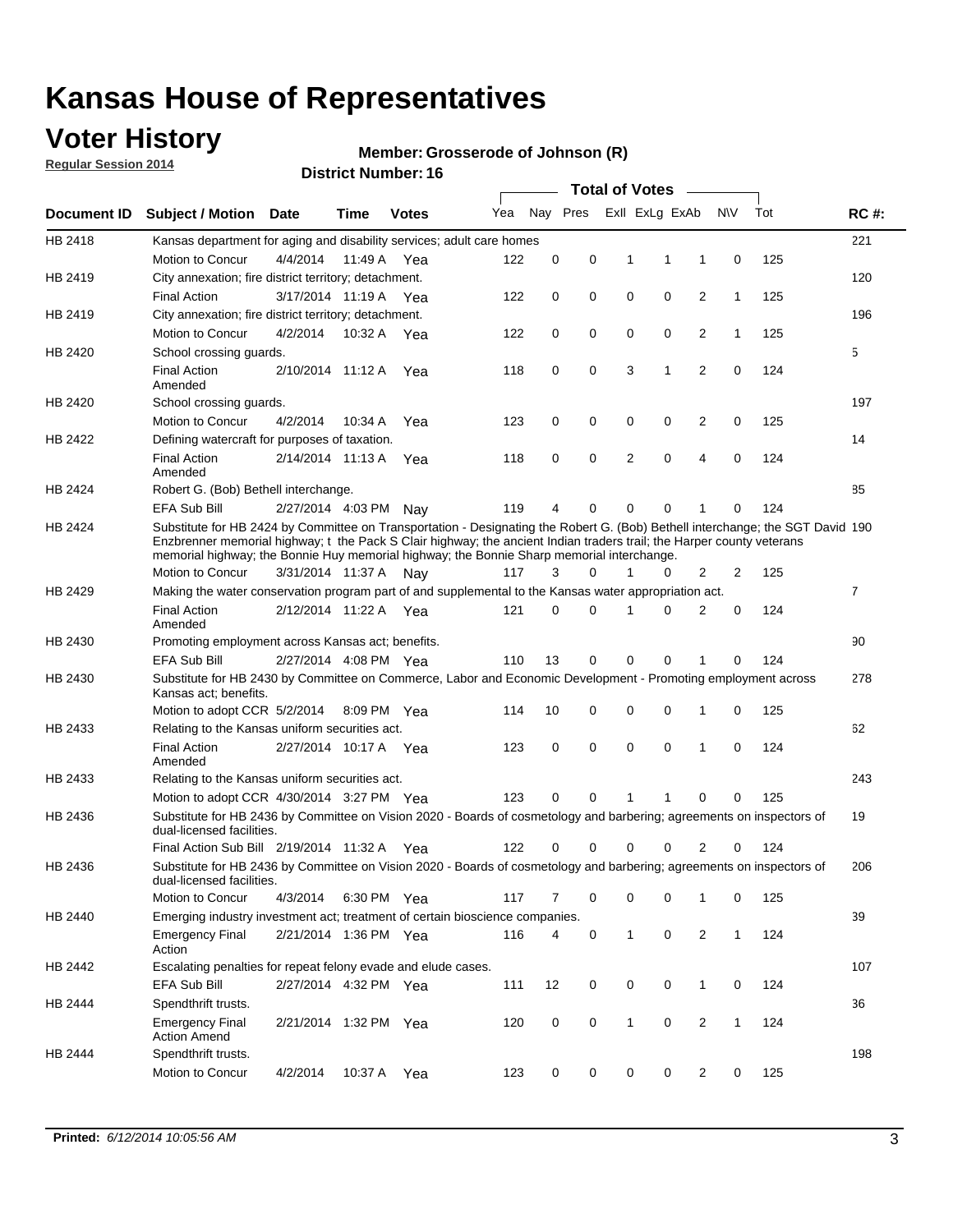## **Voter History**

**Regular Session 2014**

#### **Member: Grosserode of Johnson (R)**

|                    |                                                                                                                                                                                                                                                                                                                                                      |                       |             | <b>DISTRICT MAILINGL. 10</b> |     |          |          |              | <b>Total of Votes</b> |                |              |     |                |
|--------------------|------------------------------------------------------------------------------------------------------------------------------------------------------------------------------------------------------------------------------------------------------------------------------------------------------------------------------------------------------|-----------------------|-------------|------------------------------|-----|----------|----------|--------------|-----------------------|----------------|--------------|-----|----------------|
| <b>Document ID</b> | <b>Subject / Motion</b>                                                                                                                                                                                                                                                                                                                              | Date                  | Time        | <b>Votes</b>                 | Yea |          | Nay Pres |              | Exll ExLg ExAb        |                | N\V          | Tot | <b>RC#:</b>    |
| HB 2418            | Kansas department for aging and disability services; adult care homes                                                                                                                                                                                                                                                                                |                       |             |                              |     |          |          |              |                       |                |              |     | 221            |
|                    | <b>Motion to Concur</b>                                                                                                                                                                                                                                                                                                                              | 4/4/2014              | 11:49 A     | Yea                          | 122 | 0        | 0        | 1            | 1                     | 1              | 0            | 125 |                |
| HB 2419            | City annexation; fire district territory; detachment.                                                                                                                                                                                                                                                                                                |                       |             |                              |     |          |          |              |                       |                |              |     | 120            |
|                    | <b>Final Action</b>                                                                                                                                                                                                                                                                                                                                  | 3/17/2014 11:19 A     |             | Yea                          | 122 | 0        | 0        | 0            | 0                     | $\overline{2}$ | $\mathbf{1}$ | 125 |                |
| HB 2419            | City annexation; fire district territory; detachment.                                                                                                                                                                                                                                                                                                |                       |             |                              |     |          |          |              |                       |                |              |     | 196            |
|                    | Motion to Concur                                                                                                                                                                                                                                                                                                                                     | 4/2/2014              | 10:32 A     | Yea                          | 122 | 0        | 0        | 0            | 0                     | $\overline{2}$ | $\mathbf{1}$ | 125 |                |
| HB 2420            | School crossing quards.                                                                                                                                                                                                                                                                                                                              |                       |             |                              |     |          |          |              |                       |                |              |     | 5              |
|                    | <b>Final Action</b><br>Amended                                                                                                                                                                                                                                                                                                                       | 2/10/2014 11:12 A     |             | Yea                          | 118 | 0        | 0        | 3            | 1                     | $\overline{2}$ | 0            | 124 |                |
| HB 2420            | School crossing guards.                                                                                                                                                                                                                                                                                                                              |                       |             |                              |     |          |          |              |                       |                |              |     | 197            |
|                    | Motion to Concur                                                                                                                                                                                                                                                                                                                                     | 4/2/2014              | 10:34 A     | Yea                          | 123 | 0        | 0        | 0            | 0                     | 2              | 0            | 125 |                |
| HB 2422            | Defining watercraft for purposes of taxation.                                                                                                                                                                                                                                                                                                        |                       |             |                              |     |          |          |              |                       |                |              |     | 14             |
|                    | <b>Final Action</b><br>Amended                                                                                                                                                                                                                                                                                                                       | 2/14/2014 11:13 A     |             | Yea                          | 118 | 0        | 0        | 2            | $\mathbf 0$           | $\overline{4}$ | 0            | 124 |                |
| HB 2424            | Robert G. (Bob) Bethell interchange.                                                                                                                                                                                                                                                                                                                 |                       |             |                              |     |          |          |              |                       |                |              |     | 85             |
|                    | EFA Sub Bill                                                                                                                                                                                                                                                                                                                                         | 2/27/2014 4:03 PM Nay |             |                              | 119 | 4        | 0        | $\mathbf 0$  | 0                     | 1              | 0            | 124 |                |
| HB 2424            | Substitute for HB 2424 by Committee on Transportation - Designating the Robert G. (Bob) Bethell interchange; the SGT David 190<br>Enzbrenner memorial highway; t the Pack S Clair highway; the ancient Indian traders trail; the Harper county veterans<br>memorial highway; the Bonnie Huy memorial highway; the Bonnie Sharp memorial interchange. |                       |             |                              |     |          |          |              |                       |                |              |     |                |
|                    | Motion to Concur                                                                                                                                                                                                                                                                                                                                     | 3/31/2014 11:37 A Nay |             |                              | 117 | 3        | 0        | 1            | 0                     | $\overline{2}$ | 2            | 125 |                |
| HB 2429            | Making the water conservation program part of and supplemental to the Kansas water appropriation act.                                                                                                                                                                                                                                                |                       |             |                              |     |          |          |              |                       |                |              |     | $\overline{7}$ |
|                    | <b>Final Action</b><br>Amended                                                                                                                                                                                                                                                                                                                       | 2/12/2014 11:22 A Yea |             |                              | 121 | $\Omega$ | $\Omega$ | 1            | 0                     | $\overline{2}$ | $\mathbf 0$  | 124 |                |
| HB 2430            | Promoting employment across Kansas act; benefits.                                                                                                                                                                                                                                                                                                    |                       |             |                              |     |          |          |              |                       |                |              |     | 90             |
|                    | <b>EFA Sub Bill</b>                                                                                                                                                                                                                                                                                                                                  | 2/27/2014 4:08 PM Yea |             |                              | 110 | 13       | 0        | $\mathbf 0$  | 0                     |                | 0            | 124 |                |
| HB 2430            | Substitute for HB 2430 by Committee on Commerce, Labor and Economic Development - Promoting employment across<br>Kansas act; benefits.                                                                                                                                                                                                               |                       |             |                              |     |          |          |              |                       |                |              |     | 278            |
|                    | Motion to adopt CCR 5/2/2014                                                                                                                                                                                                                                                                                                                         |                       | 8:09 PM Yea |                              | 114 | 10       | 0        | 0            | 0                     | 1              | 0            | 125 |                |
| HB 2433            | Relating to the Kansas uniform securities act.                                                                                                                                                                                                                                                                                                       |                       |             |                              |     |          |          |              |                       |                |              |     | 62             |
|                    | <b>Final Action</b><br>Amended                                                                                                                                                                                                                                                                                                                       | 2/27/2014 10:17 A Yea |             |                              | 123 | 0        | 0        | 0            | $\mathbf 0$           | 1              | 0            | 124 |                |
| HB 2433            | Relating to the Kansas uniform securities act.                                                                                                                                                                                                                                                                                                       |                       |             |                              |     |          |          |              |                       |                |              |     | 243            |
|                    | Motion to adopt CCR 4/30/2014 3:27 PM Yea                                                                                                                                                                                                                                                                                                            |                       |             |                              | 123 | $\Omega$ | $\Omega$ | 1            | 1                     | $\Omega$       | 0            | 125 |                |
| HB 2436            | Substitute for HB 2436 by Committee on Vision 2020 - Boards of cosmetology and barbering; agreements on inspectors of<br>dual-licensed facilities.                                                                                                                                                                                                   |                       |             |                              |     |          |          |              |                       |                |              |     | 19             |
|                    | Final Action Sub Bill 2/19/2014 11:32 A                                                                                                                                                                                                                                                                                                              |                       |             | Yea                          | 122 | ი        | 0        | O            | 0                     | 2              | 0            | 124 |                |
| HB 2436            | Substitute for HB 2436 by Committee on Vision 2020 - Boards of cosmetology and barbering; agreements on inspectors of<br>dual-licensed facilities.                                                                                                                                                                                                   |                       |             |                              |     |          |          |              |                       |                |              |     | 206            |
|                    | Motion to Concur                                                                                                                                                                                                                                                                                                                                     | 4/3/2014              | 6:30 PM Yea |                              | 117 | 7        | 0        | 0            | 0                     | 1              | 0            | 125 |                |
| HB 2440            | Emerging industry investment act; treatment of certain bioscience companies.                                                                                                                                                                                                                                                                         |                       |             |                              |     |          |          |              |                       |                |              |     | 39             |
|                    | <b>Emergency Final</b><br>Action                                                                                                                                                                                                                                                                                                                     | 2/21/2014 1:36 PM Yea |             |                              | 116 | 4        | 0        | $\mathbf{1}$ | 0                     | 2              | $\mathbf{1}$ | 124 |                |
| HB 2442            | Escalating penalties for repeat felony evade and elude cases.                                                                                                                                                                                                                                                                                        |                       |             |                              |     |          |          |              |                       |                |              |     | 107            |
|                    | EFA Sub Bill                                                                                                                                                                                                                                                                                                                                         | 2/27/2014 4:32 PM Yea |             |                              | 111 | 12       | 0        | 0            | 0                     | $\mathbf{1}$   | 0            | 124 |                |
| HB 2444            | Spendthrift trusts.                                                                                                                                                                                                                                                                                                                                  |                       |             |                              |     |          |          |              |                       |                |              |     | 36             |
|                    | <b>Emergency Final</b><br><b>Action Amend</b>                                                                                                                                                                                                                                                                                                        | 2/21/2014 1:32 PM Yea |             |                              | 120 | 0        | 0        | $\mathbf{1}$ | 0                     | $\overline{2}$ | $\mathbf{1}$ | 124 |                |
| HB 2444            | Spendthrift trusts.                                                                                                                                                                                                                                                                                                                                  |                       |             |                              |     |          |          |              |                       |                |              |     | 198            |
|                    | Motion to Concur                                                                                                                                                                                                                                                                                                                                     | 4/2/2014              | 10:37 A     | Yea                          | 123 | 0        | 0        | 0            | 0                     | $\overline{2}$ | 0            | 125 |                |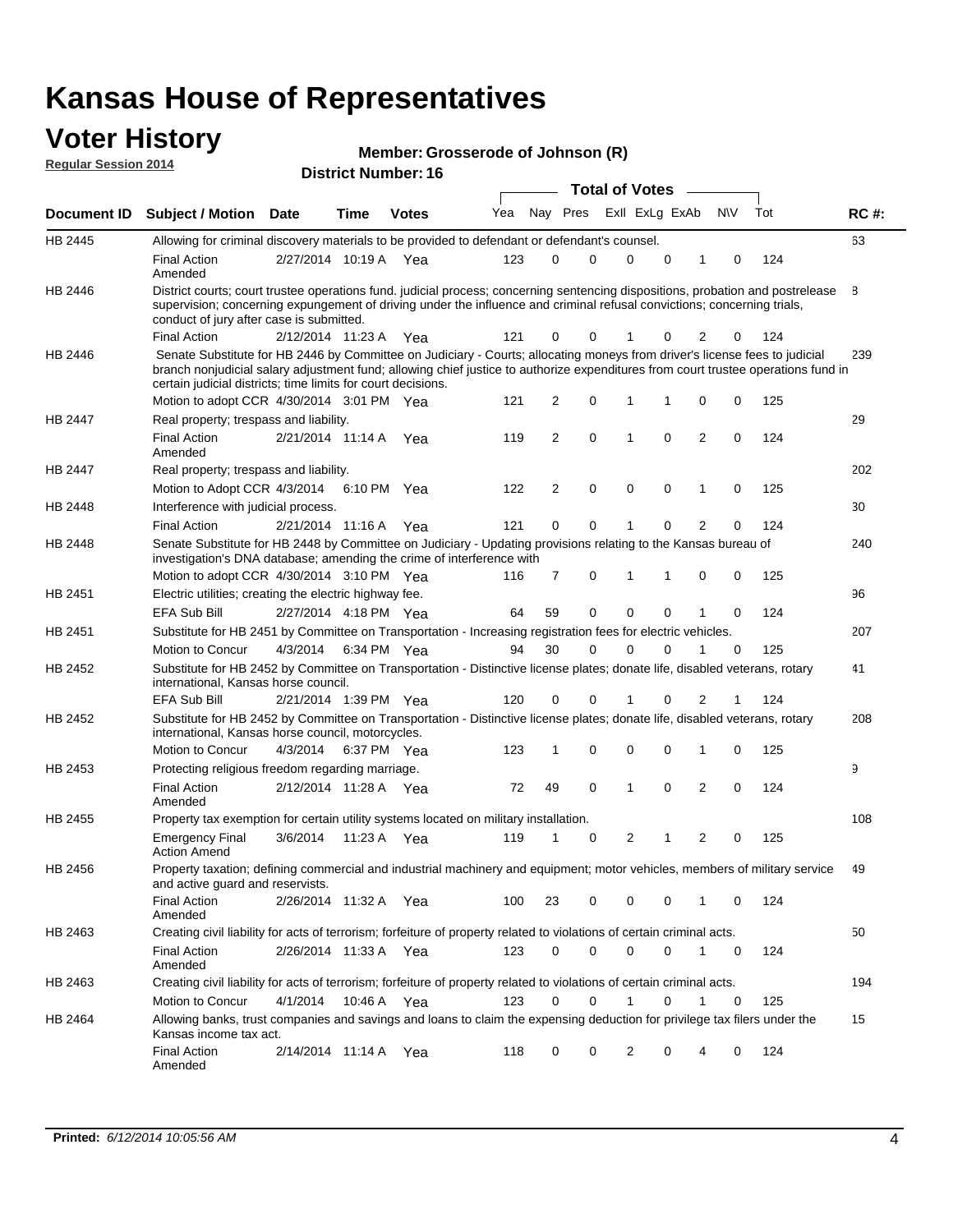## **Voter History**

| <b>VUGHINGUY</b><br><b>Regular Session 2014</b> |                                                                                               |                   |      | Member: Grosserode of Johnson (R)<br><b>District Number: 16</b> |     |          |              |                  |  |     |     |             |
|-------------------------------------------------|-----------------------------------------------------------------------------------------------|-------------------|------|-----------------------------------------------------------------|-----|----------|--------------|------------------|--|-----|-----|-------------|
|                                                 |                                                                                               |                   |      |                                                                 |     |          |              | Total of Votes — |  |     |     |             |
| Document ID                                     | <b>Subject / Motion Date</b>                                                                  |                   | Time | <b>Votes</b>                                                    |     |          | Yea Nav Pres | Exll ExLg ExAb   |  | N\V | Tot | <b>RC#:</b> |
| HB 2445                                         | Allowing for criminal discovery materials to be provided to defendant or defendant's counsel. |                   |      |                                                                 |     |          |              |                  |  |     |     | 63          |
|                                                 | <b>Final Action</b><br>Amended                                                                | 2/27/2014 10:19 A |      | Yea                                                             | 123 | $\Omega$ |              |                  |  |     | 124 |             |

|                | Final Action<br>Amended                                                                                                                                                                                                                                                                                                         | $2/ZI/ZU14$ 10.19 A   |             | rea |     |                |             |                |          |                |              | 124 |     |
|----------------|---------------------------------------------------------------------------------------------------------------------------------------------------------------------------------------------------------------------------------------------------------------------------------------------------------------------------------|-----------------------|-------------|-----|-----|----------------|-------------|----------------|----------|----------------|--------------|-----|-----|
| HB 2446        | District courts; court trustee operations fund. judicial process; concerning sentencing dispositions, probation and postrelease<br>supervision; concerning expungement of driving under the influence and criminal refusal convictions; concerning trials,<br>conduct of jury after case is submitted.                          |                       |             |     |     |                |             |                |          |                |              |     | B.  |
|                | <b>Final Action</b>                                                                                                                                                                                                                                                                                                             | 2/12/2014 11:23 A     |             | Yea | 121 | 0              | 0           |                | 0        | 2              | 0            | 124 |     |
| HB 2446        | Senate Substitute for HB 2446 by Committee on Judiciary - Courts; allocating moneys from driver's license fees to judicial<br>branch nonjudicial salary adjustment fund; allowing chief justice to authorize expenditures from court trustee operations fund in<br>certain judicial districts; time limits for court decisions. |                       |             |     |     |                |             |                |          |                |              |     | 239 |
|                | Motion to adopt CCR 4/30/2014 3:01 PM Yea                                                                                                                                                                                                                                                                                       |                       |             |     | 121 | 2              | $\Omega$    | 1              | 1        | 0              | 0            | 125 |     |
| <b>HB 2447</b> | Real property; trespass and liability.                                                                                                                                                                                                                                                                                          |                       |             |     |     |                |             |                |          |                |              |     | 29  |
|                | <b>Final Action</b><br>Amended                                                                                                                                                                                                                                                                                                  | 2/21/2014 11:14 A     |             | Yea | 119 | $\overline{2}$ | 0           | 1              | $\Omega$ | $\overline{2}$ | 0            | 124 |     |
| HB 2447        | Real property; trespass and liability.                                                                                                                                                                                                                                                                                          |                       |             |     |     |                |             |                |          |                |              |     | 202 |
|                | Motion to Adopt CCR 4/3/2014                                                                                                                                                                                                                                                                                                    |                       | 6:10 PM     | Yea | 122 | $\overline{2}$ | $\Omega$    | $\Omega$       | $\Omega$ | 1              | 0            | 125 |     |
| <b>HB 2448</b> | Interference with judicial process.                                                                                                                                                                                                                                                                                             |                       |             |     |     |                |             |                |          |                |              |     | 30  |
|                | <b>Final Action</b>                                                                                                                                                                                                                                                                                                             | 2/21/2014 11:16 A     |             | Yea | 121 | $\Omega$       | 0           | 1              | 0        | 2              | 0            | 124 |     |
| HB 2448        | Senate Substitute for HB 2448 by Committee on Judiciary - Updating provisions relating to the Kansas bureau of<br>investigation's DNA database; amending the crime of interference with                                                                                                                                         |                       |             |     |     |                |             |                |          |                |              |     | 240 |
|                | Motion to adopt CCR 4/30/2014 3:10 PM Yea                                                                                                                                                                                                                                                                                       |                       |             |     | 116 | 7              | $\Omega$    | 1              | 1        | $\Omega$       | $\mathbf{0}$ | 125 |     |
| HB 2451        | Electric utilities; creating the electric highway fee.                                                                                                                                                                                                                                                                          |                       |             |     |     |                |             |                |          |                |              |     | 96  |
|                | <b>EFA Sub Bill</b>                                                                                                                                                                                                                                                                                                             | 2/27/2014 4:18 PM Yea |             |     | 64  | 59             | $\Omega$    | $\Omega$       | 0        | 1              | 0            | 124 |     |
| HB 2451        | Substitute for HB 2451 by Committee on Transportation - Increasing registration fees for electric vehicles.                                                                                                                                                                                                                     |                       |             |     |     |                |             |                |          |                |              |     | 207 |
|                | Motion to Concur                                                                                                                                                                                                                                                                                                                | 4/3/2014              | 6:34 PM Yea |     | 94  | 30             | $\Omega$    | $\Omega$       | $\Omega$ | 1              | 0            | 125 |     |
| HB 2452        | Substitute for HB 2452 by Committee on Transportation - Distinctive license plates; donate life, disabled veterans, rotary<br>international, Kansas horse council.                                                                                                                                                              |                       |             |     |     |                |             |                |          |                |              |     | 41  |
|                | <b>EFA Sub Bill</b>                                                                                                                                                                                                                                                                                                             | 2/21/2014 1:39 PM Yea |             |     | 120 | $\Omega$       | $\Omega$    |                | 0        | $\overline{2}$ | 1            | 124 |     |
| HB 2452        | Substitute for HB 2452 by Committee on Transportation - Distinctive license plates; donate life, disabled veterans, rotary<br>international, Kansas horse council, motorcycles.                                                                                                                                                 |                       |             |     |     |                |             |                |          |                |              |     | 208 |
|                | Motion to Concur                                                                                                                                                                                                                                                                                                                | 4/3/2014              | 6:37 PM Yea |     | 123 | 1              | 0           | $\mathbf 0$    | $\Omega$ |                | 0            | 125 |     |
| HB 2453        | Protecting religious freedom regarding marriage.                                                                                                                                                                                                                                                                                |                       |             |     |     |                |             |                |          |                |              |     | 9   |
|                | <b>Final Action</b><br>Amended                                                                                                                                                                                                                                                                                                  | 2/12/2014 11:28 A     |             | Yea | 72  | 49             | $\mathbf 0$ | $\mathbf{1}$   | 0        | $\overline{2}$ | 0            | 124 |     |
| <b>HB 2455</b> | Property tax exemption for certain utility systems located on military installation.                                                                                                                                                                                                                                            |                       |             |     |     |                |             |                |          |                |              |     | 108 |
|                | <b>Emergency Final</b><br><b>Action Amend</b>                                                                                                                                                                                                                                                                                   | 3/6/2014              | 11:23 A     | Yea | 119 | 1              | 0           | $\overline{2}$ | 1        | $\overline{2}$ | 0            | 125 |     |
| HB 2456        | Property taxation; defining commercial and industrial machinery and equipment; motor vehicles, members of military service<br>and active guard and reservists.                                                                                                                                                                  |                       |             |     |     |                |             |                |          |                |              |     | 49  |
|                | <b>Final Action</b><br>Amended                                                                                                                                                                                                                                                                                                  | 2/26/2014 11:32 A     |             | Yea | 100 | 23             | $\Omega$    | $\mathbf{0}$   | 0        | 1              | 0            | 124 |     |
| HB 2463        | Creating civil liability for acts of terrorism; forfeiture of property related to violations of certain criminal acts.                                                                                                                                                                                                          |                       |             |     |     |                |             |                |          |                |              |     | 50  |
|                | <b>Final Action</b><br>Amended                                                                                                                                                                                                                                                                                                  | 2/26/2014 11:33 A     |             | Yea | 123 | $\Omega$       | 0           | $\Omega$       | 0        | 1              | 0            | 124 |     |
| HB 2463        | Creating civil liability for acts of terrorism; forfeiture of property related to violations of certain criminal acts.                                                                                                                                                                                                          |                       |             |     |     |                |             |                |          |                |              |     | 194 |
|                | <b>Motion to Concur</b>                                                                                                                                                                                                                                                                                                         | 4/1/2014              | 10:46 A     | Yea | 123 | $\Omega$       | 0           | 1              | $\Omega$ | 1              | $\Omega$     | 125 |     |
| HB 2464        | Allowing banks, trust companies and savings and loans to claim the expensing deduction for privilege tax filers under the<br>Kansas income tax act.                                                                                                                                                                             |                       |             |     |     |                |             |                |          |                |              |     | 15  |
|                | <b>Final Action</b><br>Amended                                                                                                                                                                                                                                                                                                  | 2/14/2014 11:14 A     |             | Yea | 118 | 0              | $\Omega$    | $\overline{2}$ | 0        | 4              | 0            | 124 |     |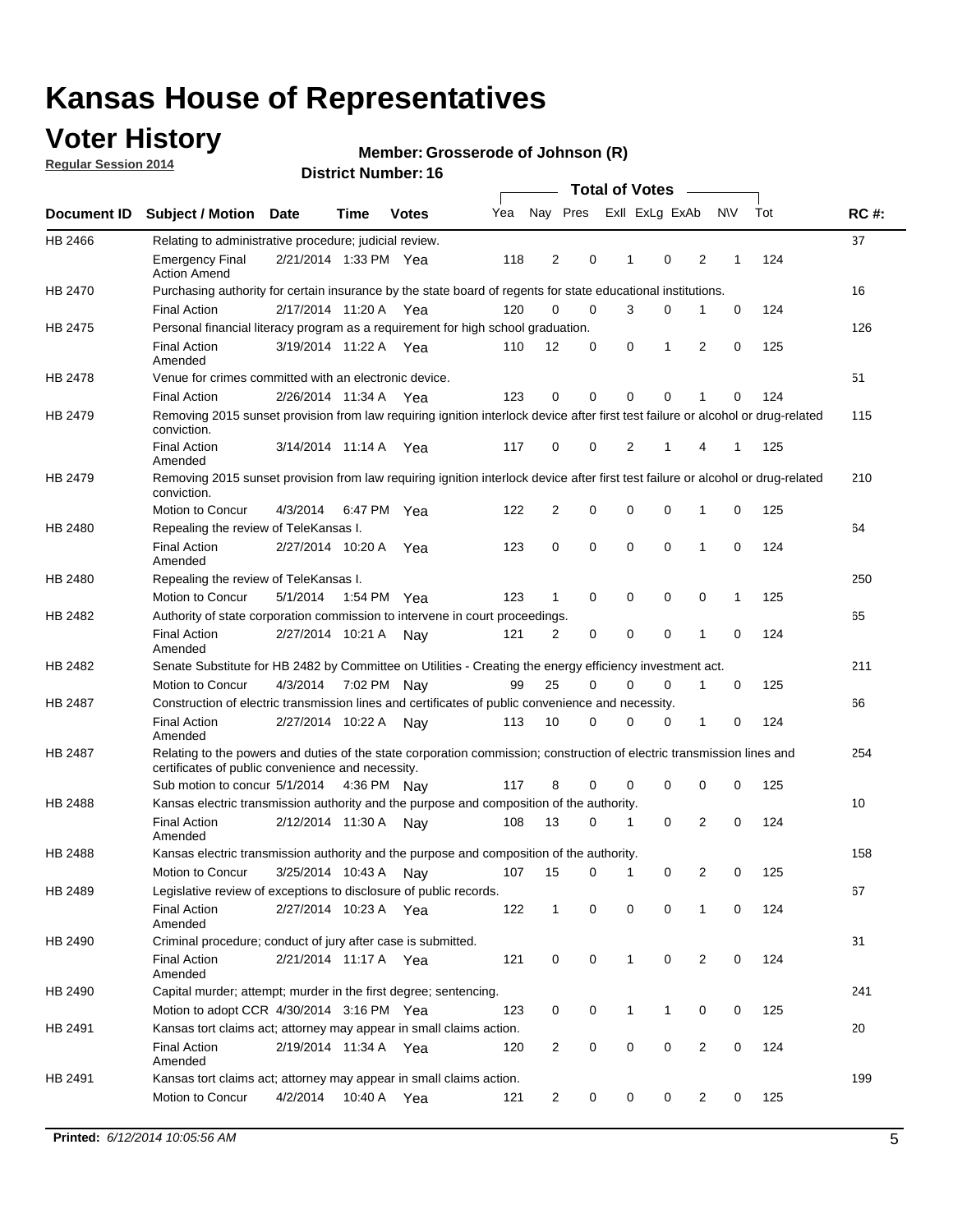## **Voter History**

**Regular Session 2014**

#### **Member: Grosserode of Johnson (R)**

|                |                                                                                                                                                                             |                       |         |              |     |                |          |          | <b>Total of Votes</b> |                |                |             |     |             |
|----------------|-----------------------------------------------------------------------------------------------------------------------------------------------------------------------------|-----------------------|---------|--------------|-----|----------------|----------|----------|-----------------------|----------------|----------------|-------------|-----|-------------|
| Document ID    | <b>Subject / Motion Date</b>                                                                                                                                                |                       | Time    | <b>Votes</b> | Yea |                | Nay Pres |          |                       | Exll ExLg ExAb |                | N\V         | Tot | <b>RC#:</b> |
| HB 2466        | Relating to administrative procedure; judicial review.                                                                                                                      |                       |         |              |     |                |          |          |                       |                |                |             |     | 37          |
|                | <b>Emergency Final</b><br><b>Action Amend</b>                                                                                                                               | 2/21/2014 1:33 PM Yea |         |              | 118 | 2              |          | 0        | 1                     | $\mathbf 0$    | 2              | 1           | 124 |             |
| <b>HB 2470</b> | Purchasing authority for certain insurance by the state board of regents for state educational institutions.                                                                |                       |         |              |     |                |          |          |                       |                |                |             |     | 16          |
|                | <b>Final Action</b>                                                                                                                                                         | 2/17/2014 11:20 A Yea |         |              | 120 | 0              |          | 0        | 3                     | 0              | 1              | 0           | 124 |             |
| HB 2475        | Personal financial literacy program as a requirement for high school graduation.                                                                                            |                       |         |              |     |                |          |          |                       |                |                |             |     | 126         |
|                | <b>Final Action</b><br>Amended                                                                                                                                              | 3/19/2014 11:22 A Yea |         |              | 110 | 12             |          | 0        | 0                     | 1              | 2              | 0           | 125 |             |
| HB 2478        | Venue for crimes committed with an electronic device.                                                                                                                       |                       |         |              |     |                |          |          |                       |                |                |             |     | 51          |
|                | <b>Final Action</b>                                                                                                                                                         | 2/26/2014 11:34 A     |         | Yea          | 123 | 0              |          | 0        | $\Omega$              | $\mathbf 0$    | 1              | $\mathbf 0$ | 124 |             |
| HB 2479        | Removing 2015 sunset provision from law requiring ignition interlock device after first test failure or alcohol or drug-related<br>conviction.                              |                       |         |              |     |                |          |          |                       |                |                |             |     | 115         |
|                | <b>Final Action</b><br>Amended                                                                                                                                              | 3/14/2014 11:14 A     |         | Yea          | 117 | 0              |          | 0        | 2                     | 1              | 4              | 1           | 125 |             |
| HB 2479        | Removing 2015 sunset provision from law requiring ignition interlock device after first test failure or alcohol or drug-related<br>conviction.                              |                       |         |              |     |                |          |          |                       |                |                |             |     | 210         |
|                | Motion to Concur                                                                                                                                                            | 4/3/2014              |         | 6:47 PM Yea  | 122 | $\overline{2}$ |          | 0        | $\mathbf 0$           | 0              | 1              | 0           | 125 |             |
| HB 2480        | Repealing the review of TeleKansas I.                                                                                                                                       |                       |         |              |     |                |          |          |                       |                |                |             |     | 64          |
|                | <b>Final Action</b><br>Amended                                                                                                                                              | 2/27/2014 10:20 A Yea |         |              | 123 | 0              |          | 0        | $\mathbf 0$           | $\mathbf 0$    | 1              | 0           | 124 |             |
| HB 2480        | Repealing the review of TeleKansas I.                                                                                                                                       |                       |         |              |     |                |          |          |                       |                |                |             |     | 250         |
|                | Motion to Concur                                                                                                                                                            | 5/1/2014              |         | 1:54 PM Yea  | 123 | 1              |          | 0        | 0                     | 0              | 0              | 1           | 125 |             |
| HB 2482        | Authority of state corporation commission to intervene in court proceedings.                                                                                                |                       |         |              |     |                |          |          |                       |                |                |             |     | 65          |
|                | <b>Final Action</b><br>Amended                                                                                                                                              | 2/27/2014 10:21 A     |         | Nav          | 121 | $\overline{2}$ |          | 0        | 0                     | $\mathbf 0$    | 1              | 0           | 124 |             |
| HB 2482        | Senate Substitute for HB 2482 by Committee on Utilities - Creating the energy efficiency investment act.                                                                    |                       |         |              |     |                |          |          |                       |                |                |             |     | 211         |
|                | Motion to Concur                                                                                                                                                            | 4/3/2014 7:02 PM Nay  |         |              | 99  | 25             |          | $\Omega$ | 0                     | $\mathbf 0$    | 1              | 0           | 125 |             |
| HB 2487        | Construction of electric transmission lines and certificates of public convenience and necessity.                                                                           |                       |         |              |     |                |          |          |                       |                |                |             |     | 66          |
|                | <b>Final Action</b><br>Amended                                                                                                                                              | 2/27/2014 10:22 A     |         | Nav          | 113 | 10             |          | 0        | 0                     | 0              | 1              | 0           | 124 |             |
| HB 2487        | Relating to the powers and duties of the state corporation commission; construction of electric transmission lines and<br>certificates of public convenience and necessity. |                       |         |              |     |                |          |          |                       |                |                |             |     | 254         |
|                | Sub motion to concur 5/1/2014                                                                                                                                               |                       |         | 4:36 PM Nay  | 117 | 8              |          | 0        | 0                     | $\mathbf 0$    | $\mathbf 0$    | 0           | 125 |             |
| <b>HB 2488</b> | Kansas electric transmission authority and the purpose and composition of the authority.                                                                                    |                       |         |              |     |                |          |          |                       |                |                |             |     | 10          |
|                | <b>Final Action</b><br>Amended                                                                                                                                              | 2/12/2014 11:30 A     |         | Nav          | 108 | 13             |          | 0        | 1                     | 0              | 2              | 0           | 124 |             |
| <b>HB 2488</b> | Kansas electric transmission authority and the purpose and composition of the authority.                                                                                    |                       |         |              |     |                |          |          |                       |                |                |             |     | 158         |
|                | Motion to Concur                                                                                                                                                            | 3/25/2014 10:43 A     |         | Nav          | 107 | 15             |          | 0        | 1                     | 0              | 2              | 0           | 125 |             |
| HB 2489        | Legislative review of exceptions to disclosure of public records.                                                                                                           |                       |         |              |     |                |          |          |                       |                |                |             |     | 67          |
|                | <b>Final Action</b><br>Amended                                                                                                                                              | 2/27/2014 10:23 A Yea |         |              | 122 | $\mathbf{1}$   |          | 0        | 0                     | 0              | 1              | 0           | 124 |             |
| HB 2490        | Criminal procedure; conduct of jury after case is submitted.                                                                                                                |                       |         |              |     |                |          |          |                       |                |                |             |     | 31          |
|                | <b>Final Action</b><br>Amended                                                                                                                                              | 2/21/2014 11:17 A Yea |         |              | 121 | 0              |          | 0        | $\mathbf{1}$          | $\mathbf 0$    | $\overline{2}$ | $\mathbf 0$ | 124 |             |
| HB 2490        | Capital murder; attempt; murder in the first degree; sentencing.                                                                                                            |                       |         |              |     |                |          |          |                       |                |                |             |     | 241         |
|                | Motion to adopt CCR 4/30/2014 3:16 PM Yea                                                                                                                                   |                       |         |              | 123 | 0              |          | 0        | $\mathbf{1}$          | 1              | 0              | 0           | 125 |             |
| HB 2491        | Kansas tort claims act; attorney may appear in small claims action.                                                                                                         |                       |         |              |     |                |          |          |                       |                |                |             |     | 20          |
|                | <b>Final Action</b><br>Amended                                                                                                                                              | 2/19/2014 11:34 A Yea |         |              | 120 | $\overline{c}$ |          | 0        | 0                     | 0              | $\overline{2}$ | 0           | 124 |             |
| HB 2491        | Kansas tort claims act; attorney may appear in small claims action.                                                                                                         |                       |         |              |     |                |          |          |                       |                |                |             |     | 199         |
|                | Motion to Concur                                                                                                                                                            | 4/2/2014              | 10:40 A | Yea          | 121 | $\overline{2}$ |          | 0        | 0                     | 0              | $\overline{2}$ | 0           | 125 |             |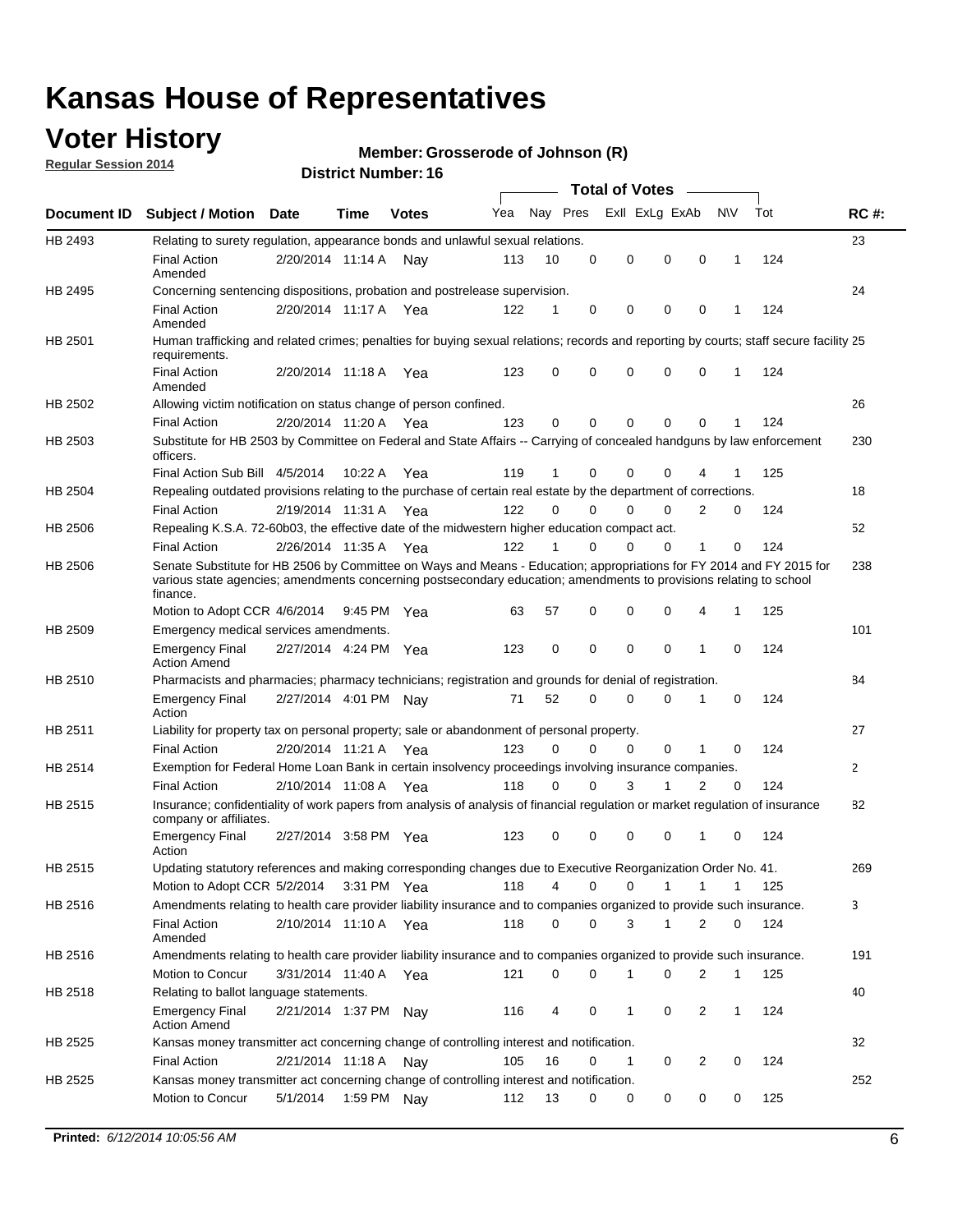## **Voter History**

**Regular Session 2014**

#### **Member: Grosserode of Johnson (R)**

|                    |                                                                                                                                                                                                                                                        |                       |             |              |     |          |          | <b>Total of Votes</b> |              |              |              |     |              |
|--------------------|--------------------------------------------------------------------------------------------------------------------------------------------------------------------------------------------------------------------------------------------------------|-----------------------|-------------|--------------|-----|----------|----------|-----------------------|--------------|--------------|--------------|-----|--------------|
| <b>Document ID</b> | <b>Subject / Motion Date</b>                                                                                                                                                                                                                           |                       | Time        | <b>Votes</b> | Yea | Nay Pres |          | Exll ExLg ExAb        |              |              | N\V          | Tot | <b>RC#:</b>  |
| HB 2493            | Relating to surety regulation, appearance bonds and unlawful sexual relations.                                                                                                                                                                         |                       |             |              |     |          |          |                       |              |              |              |     | 23           |
|                    | <b>Final Action</b><br>Amended                                                                                                                                                                                                                         | 2/20/2014 11:14 A     |             | Nav          | 113 | 10       | 0        | 0                     | 0            | 0            | 1            | 124 |              |
| HB 2495            | Concerning sentencing dispositions, probation and postrelease supervision.                                                                                                                                                                             |                       |             |              |     |          |          |                       |              |              |              |     | 24           |
|                    | Final Action<br>Amended                                                                                                                                                                                                                                | 2/20/2014 11:17 A Yea |             |              | 122 |          | 0        | $\mathbf 0$           | $\mathbf 0$  | 0            |              | 124 |              |
| HB 2501            | Human trafficking and related crimes; penalties for buying sexual relations; records and reporting by courts; staff secure facility 25<br>requirements.                                                                                                |                       |             |              |     |          |          |                       |              |              |              |     |              |
|                    | <b>Final Action</b><br>Amended                                                                                                                                                                                                                         | 2/20/2014 11:18 A Yea |             |              | 123 | 0        | 0        | $\mathbf 0$           | $\Omega$     | 0            | 1            | 124 |              |
| HB 2502            | Allowing victim notification on status change of person confined.                                                                                                                                                                                      |                       |             |              |     |          |          |                       |              |              |              |     | 26           |
|                    | <b>Final Action</b>                                                                                                                                                                                                                                    | 2/20/2014 11:20 A Yea |             |              | 123 | 0        | 0        | $\mathbf 0$           | $\mathbf 0$  | $\Omega$     |              | 124 |              |
| HB 2503            | Substitute for HB 2503 by Committee on Federal and State Affairs -- Carrying of concealed handguns by law enforcement<br>officers.                                                                                                                     |                       |             |              |     |          |          |                       |              |              |              |     | 230          |
|                    | Final Action Sub Bill 4/5/2014                                                                                                                                                                                                                         |                       | 10:22 A     | Yea          | 119 |          | 0        | $\Omega$              | $\Omega$     | 4            |              | 125 |              |
| HB 2504            | Repealing outdated provisions relating to the purchase of certain real estate by the department of corrections.                                                                                                                                        |                       |             |              |     |          |          |                       |              |              |              |     | 18           |
|                    | <b>Final Action</b>                                                                                                                                                                                                                                    | 2/19/2014 11:31 A Yea |             |              | 122 | $\Omega$ | $\Omega$ | $\Omega$              | $\Omega$     | 2            | 0            | 124 |              |
| HB 2506            | Repealing K.S.A. 72-60b03, the effective date of the midwestern higher education compact act.                                                                                                                                                          |                       |             |              |     |          |          |                       |              |              |              |     | 52           |
|                    | <b>Final Action</b>                                                                                                                                                                                                                                    | 2/26/2014 11:35 A Yea |             |              | 122 |          | $\Omega$ | $\Omega$              | $\Omega$     | 1            | 0            | 124 |              |
| HB 2506            | Senate Substitute for HB 2506 by Committee on Ways and Means - Education; appropriations for FY 2014 and FY 2015 for<br>various state agencies; amendments concerning postsecondary education; amendments to provisions relating to school<br>finance. |                       |             |              |     |          |          |                       |              |              |              |     | 238          |
|                    | Motion to Adopt CCR 4/6/2014                                                                                                                                                                                                                           |                       | 9:45 PM Yea |              | 63  | 57       | 0        | $\mathbf 0$           | 0            | 4            | 1            | 125 |              |
| HB 2509            | Emergency medical services amendments.                                                                                                                                                                                                                 |                       |             |              |     |          |          |                       |              |              |              |     | 101          |
|                    | <b>Emergency Final</b><br><b>Action Amend</b>                                                                                                                                                                                                          | 2/27/2014 4:24 PM Yea |             |              | 123 | 0        | 0        | $\mathbf 0$           | $\mathbf 0$  | $\mathbf{1}$ | 0            | 124 |              |
| HB 2510            | Pharmacists and pharmacies; pharmacy technicians; registration and grounds for denial of registration.                                                                                                                                                 |                       |             |              |     |          |          |                       |              |              |              |     | 84           |
|                    | <b>Emergency Final</b><br>Action                                                                                                                                                                                                                       | 2/27/2014 4:01 PM Nay |             |              | 71  | 52       | 0        | $\Omega$              | 0            | 1            | 0            | 124 |              |
| HB 2511            | Liability for property tax on personal property; sale or abandonment of personal property.                                                                                                                                                             |                       |             |              |     |          |          |                       |              |              |              |     | 27           |
|                    | <b>Final Action</b>                                                                                                                                                                                                                                    | 2/20/2014 11:21 A     |             | Yea          | 123 | 0        | $\Omega$ | $\mathbf 0$           | $\mathbf 0$  | 1            | 0            | 124 |              |
| HB 2514            | Exemption for Federal Home Loan Bank in certain insolvency proceedings involving insurance companies.                                                                                                                                                  |                       |             |              |     |          |          |                       |              |              |              |     | $\mathbf{2}$ |
|                    | <b>Final Action</b>                                                                                                                                                                                                                                    | 2/10/2014 11:08 A     |             | Yea          | 118 | 0        | $\Omega$ | 3                     | $\mathbf{1}$ | 2            | $\mathbf 0$  | 124 |              |
| HB 2515            | Insurance; confidentiality of work papers from analysis of analysis of financial regulation or market regulation of insurance<br>company or affiliates.                                                                                                |                       |             |              |     |          |          |                       |              |              |              |     | 82           |
|                    | <b>Emergency Final</b><br>Action                                                                                                                                                                                                                       | 2/27/2014 3:58 PM Yea |             |              | 123 | 0        | 0        | $\mathbf 0$           | 0            | $\mathbf 1$  | 0            | 124 |              |
| HB 2515            | Updating statutory references and making corresponding changes due to Executive Reorganization Order No. 41.                                                                                                                                           |                       |             |              |     |          |          |                       |              |              |              |     | 269          |
|                    | Motion to Adopt CCR 5/2/2014                                                                                                                                                                                                                           |                       |             | 3:31 PM Yea  | 118 | 4        | 0        | 0                     | $\mathbf{1}$ | $\mathbf{1}$ | 1            | 125 |              |
| HB 2516            | Amendments relating to health care provider liability insurance and to companies organized to provide such insurance.                                                                                                                                  |                       |             |              |     |          |          |                       |              |              |              |     | 3            |
|                    | <b>Final Action</b><br>Amended                                                                                                                                                                                                                         | 2/10/2014 11:10 A     |             | Yea          | 118 | 0        | 0        | 3                     | 1            | 2            | 0            | 124 |              |
| HB 2516            | Amendments relating to health care provider liability insurance and to companies organized to provide such insurance.                                                                                                                                  |                       |             |              |     |          |          |                       |              |              |              |     | 191          |
|                    | Motion to Concur                                                                                                                                                                                                                                       | 3/31/2014 11:40 A Yea |             |              | 121 | 0        | 0        | 1                     | 0            | 2            | 1            | 125 |              |
| HB 2518            | Relating to ballot language statements.                                                                                                                                                                                                                |                       |             |              |     |          |          |                       |              |              |              |     | 40           |
|                    | <b>Emergency Final</b><br><b>Action Amend</b>                                                                                                                                                                                                          | 2/21/2014 1:37 PM Nay |             |              | 116 | 4        | 0        | 1                     | 0            | 2            | $\mathbf{1}$ | 124 |              |
| HB 2525            | Kansas money transmitter act concerning change of controlling interest and notification.                                                                                                                                                               |                       |             |              |     |          |          |                       |              |              |              |     | 32           |
|                    | <b>Final Action</b>                                                                                                                                                                                                                                    | 2/21/2014 11:18 A Nay |             |              | 105 | 16       | 0        | 1                     | 0            | 2            | 0            | 124 |              |
| HB 2525            | Kansas money transmitter act concerning change of controlling interest and notification.                                                                                                                                                               |                       |             |              |     |          |          |                       |              |              |              |     | 252          |
|                    | Motion to Concur                                                                                                                                                                                                                                       | 5/1/2014              |             | 1:59 PM Nay  | 112 | 13       | 0        | 0                     | 0            | 0            | 0            | 125 |              |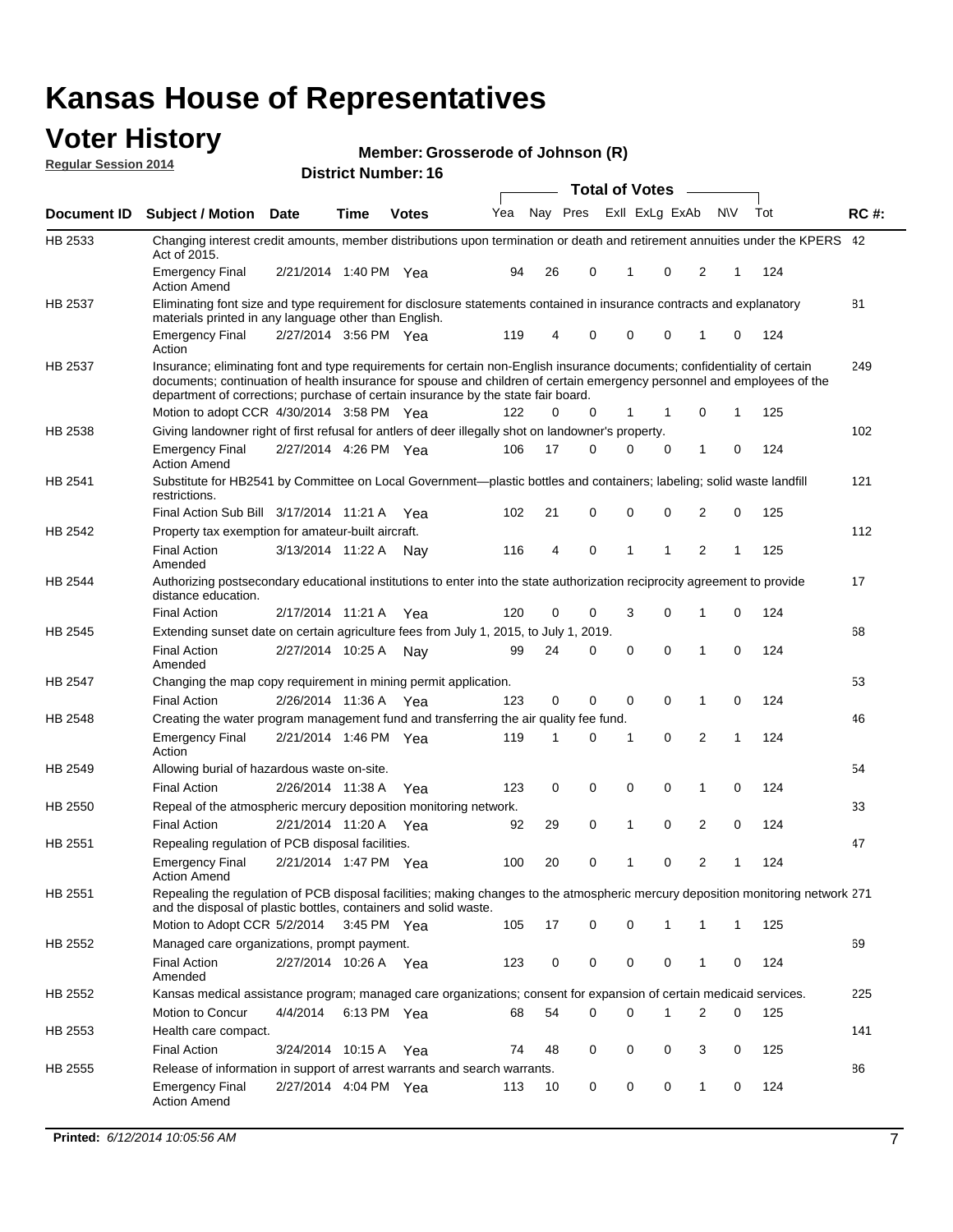#### **Voter History Regular Session 2014**

**Member: Grosserode of Johnson (R)** 

|                    |                                                                                                                                                                                                                                                                                                                                           |                       |             |              |     |          |   | <b>Total of Votes</b> |             |                |              |     |             |
|--------------------|-------------------------------------------------------------------------------------------------------------------------------------------------------------------------------------------------------------------------------------------------------------------------------------------------------------------------------------------|-----------------------|-------------|--------------|-----|----------|---|-----------------------|-------------|----------------|--------------|-----|-------------|
| <b>Document ID</b> | <b>Subject / Motion Date</b>                                                                                                                                                                                                                                                                                                              |                       | Time        | <b>Votes</b> | Yea | Nay Pres |   | Exll ExLg ExAb        |             |                | <b>NV</b>    | Tot | <b>RC#:</b> |
| HB 2533            | Changing interest credit amounts, member distributions upon termination or death and retirement annuities under the KPERS 42<br>Act of 2015.                                                                                                                                                                                              |                       |             |              |     |          |   |                       |             |                |              |     |             |
|                    | <b>Emergency Final</b><br><b>Action Amend</b>                                                                                                                                                                                                                                                                                             | 2/21/2014 1:40 PM Yea |             |              | 94  | 26       | 0 | 1                     | $\mathbf 0$ | 2              | 1            | 124 |             |
| HB 2537            | Eliminating font size and type requirement for disclosure statements contained in insurance contracts and explanatory<br>materials printed in any language other than English.                                                                                                                                                            |                       |             |              |     |          |   |                       |             |                |              |     | 81          |
|                    | <b>Emergency Final</b><br>Action                                                                                                                                                                                                                                                                                                          | 2/27/2014 3:56 PM Yea |             |              | 119 | 4        | 0 | 0                     | 0           | 1              | 0            | 124 |             |
| HB 2537            | Insurance; eliminating font and type requirements for certain non-English insurance documents; confidentiality of certain<br>documents; continuation of health insurance for spouse and children of certain emergency personnel and employees of the<br>department of corrections; purchase of certain insurance by the state fair board. |                       |             |              |     |          |   |                       |             |                |              |     | 249         |
|                    | Motion to adopt CCR 4/30/2014 3:58 PM Yea                                                                                                                                                                                                                                                                                                 |                       |             |              | 122 | 0        | 0 | 1                     | 1           | 0              | 1            | 125 |             |
| HB 2538            | Giving landowner right of first refusal for antlers of deer illegally shot on landowner's property.                                                                                                                                                                                                                                       |                       |             |              |     |          |   |                       |             |                |              |     | 102         |
|                    | <b>Emergency Final</b><br><b>Action Amend</b>                                                                                                                                                                                                                                                                                             | 2/27/2014 4:26 PM Yea |             |              | 106 | 17       | 0 | 0                     | $\mathbf 0$ | 1              | 0            | 124 |             |
| HB 2541            | Substitute for HB2541 by Committee on Local Government—plastic bottles and containers; labeling; solid waste landfill<br>restrictions.                                                                                                                                                                                                    |                       |             |              |     |          |   |                       |             |                |              |     | 121         |
|                    | Final Action Sub Bill 3/17/2014 11:21 A Yea                                                                                                                                                                                                                                                                                               |                       |             |              | 102 | 21       | 0 | 0                     | $\mathbf 0$ | $\overline{2}$ | 0            | 125 |             |
| HB 2542            | Property tax exemption for amateur-built aircraft.                                                                                                                                                                                                                                                                                        |                       |             |              |     |          |   |                       |             |                |              |     | 112         |
|                    | <b>Final Action</b><br>Amended                                                                                                                                                                                                                                                                                                            | 3/13/2014 11:22 A     |             | Nav          | 116 | 4        | 0 | 1                     | 1           | $\overline{2}$ | 1            | 125 |             |
| <b>HB 2544</b>     | Authorizing postsecondary educational institutions to enter into the state authorization reciprocity agreement to provide<br>distance education.                                                                                                                                                                                          |                       |             |              |     |          |   |                       |             |                |              |     | 17          |
|                    | <b>Final Action</b>                                                                                                                                                                                                                                                                                                                       | 2/17/2014 11:21 A     |             | Yea          | 120 | 0        | 0 | 3                     | $\mathbf 0$ | 1              | 0            | 124 |             |
| HB 2545            | Extending sunset date on certain agriculture fees from July 1, 2015, to July 1, 2019.                                                                                                                                                                                                                                                     |                       |             |              |     |          |   |                       |             |                |              |     | 68          |
|                    | <b>Final Action</b><br>Amended                                                                                                                                                                                                                                                                                                            | 2/27/2014 10:25 A     |             | Nav          | 99  | 24       | 0 | 0                     | $\mathbf 0$ | 1              | 0            | 124 |             |
| HB 2547            | Changing the map copy requirement in mining permit application.                                                                                                                                                                                                                                                                           |                       |             |              |     |          |   |                       |             |                |              |     | 53          |
|                    | <b>Final Action</b>                                                                                                                                                                                                                                                                                                                       | 2/26/2014 11:36 A Yea |             |              | 123 | 0        | 0 | 0                     | 0           | $\mathbf{1}$   | 0            | 124 |             |
| HB 2548            | Creating the water program management fund and transferring the air quality fee fund.                                                                                                                                                                                                                                                     |                       |             |              |     |          |   |                       |             |                |              |     | 46          |
|                    | <b>Emergency Final</b><br>Action                                                                                                                                                                                                                                                                                                          | 2/21/2014 1:46 PM Yea |             |              | 119 | 1        | 0 | 1                     | 0           | $\overline{2}$ | 1            | 124 |             |
| HB 2549            | Allowing burial of hazardous waste on-site.                                                                                                                                                                                                                                                                                               |                       |             |              |     |          |   |                       |             |                |              |     | 54          |
|                    | <b>Final Action</b>                                                                                                                                                                                                                                                                                                                       | 2/26/2014 11:38 A     |             | Yea          | 123 | 0        | 0 | 0                     | $\mathbf 0$ | 1              | 0            | 124 |             |
| HB 2550            | Repeal of the atmospheric mercury deposition monitoring network.                                                                                                                                                                                                                                                                          |                       |             |              |     |          |   |                       |             |                |              |     | 33          |
|                    | <b>Final Action</b>                                                                                                                                                                                                                                                                                                                       | 2/21/2014 11:20 A Yea |             |              | 92  | 29       | 0 | 1                     | $\mathbf 0$ | $\overline{2}$ | 0            | 124 |             |
| HB 2551            | Repealing regulation of PCB disposal facilities.                                                                                                                                                                                                                                                                                          |                       |             |              |     |          |   |                       |             |                |              |     | 47          |
|                    | <b>Emergency Final</b><br><b>Action Amend</b>                                                                                                                                                                                                                                                                                             | 2/21/2014 1:47 PM Yea |             |              | 100 | 20       | 0 | 1                     | $\mathbf 0$ | $\overline{2}$ | 1            | 124 |             |
| HB 2551            | Repealing the regulation of PCB disposal facilities; making changes to the atmospheric mercury deposition monitoring network 271<br>and the disposal of plastic bottles, containers and solid waste.                                                                                                                                      |                       |             |              |     |          |   |                       |             |                |              |     |             |
|                    | Motion to Adopt CCR 5/2/2014                                                                                                                                                                                                                                                                                                              |                       | 3:45 PM Yea |              | 105 | 17       | 0 | 0                     | 1           | 1              | $\mathbf{1}$ | 125 |             |
| HB 2552            | Managed care organizations, prompt payment.                                                                                                                                                                                                                                                                                               |                       |             |              |     |          |   |                       |             |                |              |     | 69          |
|                    | <b>Final Action</b><br>Amended                                                                                                                                                                                                                                                                                                            | 2/27/2014 10:26 A Yea |             |              | 123 | 0        | 0 | 0                     | 0           | 1              | 0            | 124 |             |
| HB 2552            | Kansas medical assistance program; managed care organizations; consent for expansion of certain medicaid services.                                                                                                                                                                                                                        |                       |             |              |     |          |   |                       |             |                |              |     | 225         |
|                    | <b>Motion to Concur</b>                                                                                                                                                                                                                                                                                                                   | 4/4/2014              | 6:13 PM Yea |              | 68  | 54       | 0 | 0                     | 1           | 2              | 0            | 125 |             |
| HB 2553            | Health care compact.                                                                                                                                                                                                                                                                                                                      |                       |             |              |     |          |   |                       |             |                |              |     | 141         |
|                    | <b>Final Action</b>                                                                                                                                                                                                                                                                                                                       | 3/24/2014 10:15 A Yea |             |              | 74  | 48       | 0 | 0                     | 0           | 3              | 0            | 125 |             |
| HB 2555            | Release of information in support of arrest warrants and search warrants.                                                                                                                                                                                                                                                                 |                       |             |              |     |          |   |                       |             |                |              |     | 86          |
|                    | <b>Emergency Final</b><br><b>Action Amend</b>                                                                                                                                                                                                                                                                                             | 2/27/2014 4:04 PM Yea |             |              | 113 | 10       | 0 | 0                     | 0           | 1              | 0            | 124 |             |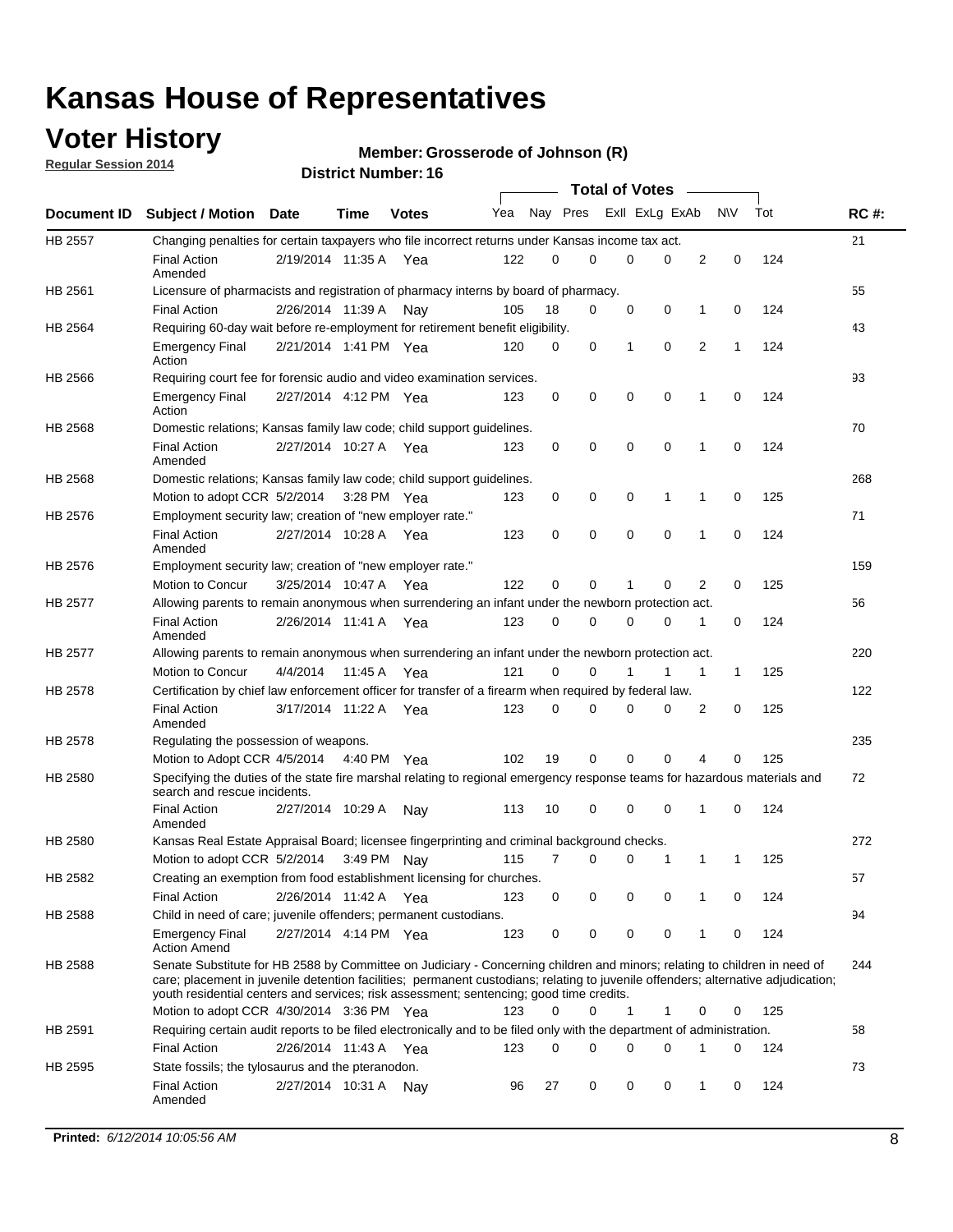## **Voter History**

**Regular Session 2014**

#### **Member: Grosserode of Johnson (R)**

|         |                                                                                                                                                                                                                                                                                                                                                           |                       |         |              |     |          |   | <b>Total of Votes</b> |          |   |             |     |             |
|---------|-----------------------------------------------------------------------------------------------------------------------------------------------------------------------------------------------------------------------------------------------------------------------------------------------------------------------------------------------------------|-----------------------|---------|--------------|-----|----------|---|-----------------------|----------|---|-------------|-----|-------------|
|         | Document ID Subject / Motion                                                                                                                                                                                                                                                                                                                              | Date                  | Time    | <b>Votes</b> | Yea | Nay Pres |   | Exll ExLg ExAb        |          |   | <b>NV</b>   | Tot | <b>RC#:</b> |
| HB 2557 | Changing penalties for certain taxpayers who file incorrect returns under Kansas income tax act.                                                                                                                                                                                                                                                          |                       |         |              |     |          |   |                       |          |   |             |     | 21          |
|         | <b>Final Action</b><br>Amended                                                                                                                                                                                                                                                                                                                            | 2/19/2014 11:35 A     |         | Yea          | 122 | 0        | 0 | 0                     | 0        | 2 | 0           | 124 |             |
| HB 2561 | Licensure of pharmacists and registration of pharmacy interns by board of pharmacy.                                                                                                                                                                                                                                                                       |                       |         |              |     |          |   |                       |          |   |             |     | 55          |
|         | <b>Final Action</b>                                                                                                                                                                                                                                                                                                                                       | 2/26/2014 11:39 A     |         | Nav          | 105 | 18       | 0 | 0                     | 0        | 1 | 0           | 124 |             |
| HB 2564 | Requiring 60-day wait before re-employment for retirement benefit eligibility.                                                                                                                                                                                                                                                                            |                       |         |              |     |          |   |                       |          |   |             |     | 43          |
|         | <b>Emergency Final</b><br>Action                                                                                                                                                                                                                                                                                                                          | 2/21/2014 1:41 PM Yea |         |              | 120 | 0        | 0 | 1                     | 0        | 2 | 1           | 124 |             |
| HB 2566 | Requiring court fee for forensic audio and video examination services.                                                                                                                                                                                                                                                                                    |                       |         |              |     |          |   |                       |          |   |             |     | 93          |
|         | <b>Emergency Final</b><br>Action                                                                                                                                                                                                                                                                                                                          | 2/27/2014 4:12 PM Yea |         |              | 123 | 0        | 0 | 0                     | 0        | 1 | $\mathbf 0$ | 124 |             |
| HB 2568 | Domestic relations; Kansas family law code; child support guidelines.                                                                                                                                                                                                                                                                                     |                       |         |              |     |          |   |                       |          |   |             |     | 70          |
|         | <b>Final Action</b><br>Amended                                                                                                                                                                                                                                                                                                                            | 2/27/2014 10:27 A     |         | Yea          | 123 | 0        | 0 | 0                     | 0        | 1 | 0           | 124 |             |
| HB 2568 | Domestic relations; Kansas family law code; child support guidelines.                                                                                                                                                                                                                                                                                     |                       |         |              |     |          |   |                       |          |   |             |     | 268         |
|         | Motion to adopt CCR 5/2/2014 3:28 PM Yea                                                                                                                                                                                                                                                                                                                  |                       |         |              | 123 | 0        | 0 | 0                     | 1        | 1 | $\mathbf 0$ | 125 |             |
| HB 2576 | Employment security law; creation of "new employer rate."                                                                                                                                                                                                                                                                                                 |                       |         |              |     |          |   |                       |          |   |             |     | 71          |
|         | <b>Final Action</b><br>Amended                                                                                                                                                                                                                                                                                                                            | 2/27/2014 10:28 A     |         | Yea          | 123 | 0        | 0 | 0                     | 0        | 1 | $\mathbf 0$ | 124 |             |
| HB 2576 | Employment security law; creation of "new employer rate."                                                                                                                                                                                                                                                                                                 |                       |         |              |     |          |   |                       |          |   |             |     | 159         |
|         | Motion to Concur                                                                                                                                                                                                                                                                                                                                          | 3/25/2014 10:47 A     |         | Yea          | 122 | 0        | 0 | 1                     | 0        | 2 | 0           | 125 |             |
| HB 2577 | Allowing parents to remain anonymous when surrendering an infant under the newborn protection act.                                                                                                                                                                                                                                                        |                       |         |              |     |          |   |                       |          |   |             |     | 56          |
|         | <b>Final Action</b><br>Amended                                                                                                                                                                                                                                                                                                                            | 2/26/2014 11:41 A Yea |         |              | 123 | $\Omega$ | 0 | 0                     | 0        | 1 | 0           | 124 |             |
| HB 2577 | Allowing parents to remain anonymous when surrendering an infant under the newborn protection act.                                                                                                                                                                                                                                                        |                       |         |              |     |          |   |                       |          |   |             |     | 220         |
|         | Motion to Concur                                                                                                                                                                                                                                                                                                                                          | 4/4/2014              | 11:45 A | Yea          | 121 | 0        | 0 |                       | 1        | 1 | 1           | 125 |             |
| HB 2578 | Certification by chief law enforcement officer for transfer of a firearm when required by federal law.                                                                                                                                                                                                                                                    |                       |         |              |     |          |   |                       |          |   |             |     | 122         |
|         | <b>Final Action</b><br>Amended                                                                                                                                                                                                                                                                                                                            | 3/17/2014 11:22 A     |         | Yea          | 123 | $\Omega$ | 0 | 0                     | 0        | 2 | 0           | 125 |             |
| HB 2578 | Regulating the possession of weapons.                                                                                                                                                                                                                                                                                                                     |                       |         |              |     |          |   |                       |          |   |             |     | 235         |
|         | Motion to Adopt CCR 4/5/2014 4:40 PM Yea                                                                                                                                                                                                                                                                                                                  |                       |         |              | 102 | 19       | 0 | 0                     | $\Omega$ | 4 | 0           | 125 |             |
| HB 2580 | Specifying the duties of the state fire marshal relating to regional emergency response teams for hazardous materials and<br>search and rescue incidents.                                                                                                                                                                                                 |                       |         |              |     |          |   |                       |          |   |             |     | 72          |
|         | <b>Final Action</b><br>Amended                                                                                                                                                                                                                                                                                                                            | 2/27/2014 10:29 A     |         | Nav          | 113 | 10       | 0 | 0                     | 0        | 1 | 0           | 124 |             |
| HB 2580 | Kansas Real Estate Appraisal Board; licensee fingerprinting and criminal background checks.                                                                                                                                                                                                                                                               |                       |         |              |     |          |   |                       |          |   |             |     | 272         |
|         | Motion to adopt CCR 5/2/2014                                                                                                                                                                                                                                                                                                                              |                       |         | 3:49 PM Nay  | 115 | 7        | 0 | 0                     | 1        | 1 | 1           | 125 |             |
| HB 2582 | Creating an exemption from food establishment licensing for churches.                                                                                                                                                                                                                                                                                     |                       |         |              |     |          |   |                       |          |   |             |     | 57          |
|         | <b>Final Action</b>                                                                                                                                                                                                                                                                                                                                       | 2/26/2014 11:42 A Yea |         |              | 123 | 0        | 0 | 0                     | 0        | 1 | 0           | 124 |             |
| HB 2588 | Child in need of care; juvenile offenders; permanent custodians.                                                                                                                                                                                                                                                                                          |                       |         |              |     |          |   |                       |          |   |             |     | 94          |
|         | <b>Emergency Final</b><br><b>Action Amend</b>                                                                                                                                                                                                                                                                                                             | 2/27/2014 4:14 PM Yea |         |              | 123 | 0        | 0 | 0                     | 0        | 1 | 0           | 124 |             |
| HB 2588 | Senate Substitute for HB 2588 by Committee on Judiciary - Concerning children and minors; relating to children in need of<br>care; placement in juvenile detention facilities; permanent custodians; relating to juvenile offenders; alternative adjudication;<br>youth residential centers and services; risk assessment; sentencing; good time credits. |                       |         |              |     |          |   |                       |          |   |             |     | 244         |
|         | Motion to adopt CCR 4/30/2014 3:36 PM Yea                                                                                                                                                                                                                                                                                                                 |                       |         |              | 123 | 0        | 0 | 1                     | 1        | 0 | 0           | 125 |             |
| HB 2591 | Requiring certain audit reports to be filed electronically and to be filed only with the department of administration.                                                                                                                                                                                                                                    |                       |         |              |     |          |   |                       |          |   |             |     | 58          |
|         | <b>Final Action</b>                                                                                                                                                                                                                                                                                                                                       | 2/26/2014 11:43 A Yea |         |              | 123 | 0        | 0 | 0                     | 0        | 1 | 0           | 124 |             |
| HB 2595 | State fossils; the tylosaurus and the pteranodon.                                                                                                                                                                                                                                                                                                         |                       |         |              |     |          |   |                       |          |   |             |     | 73          |
|         | <b>Final Action</b><br>Amended                                                                                                                                                                                                                                                                                                                            | 2/27/2014 10:31 A Nay |         |              | 96  | 27       | 0 | 0                     | 0        | 1 | 0           | 124 |             |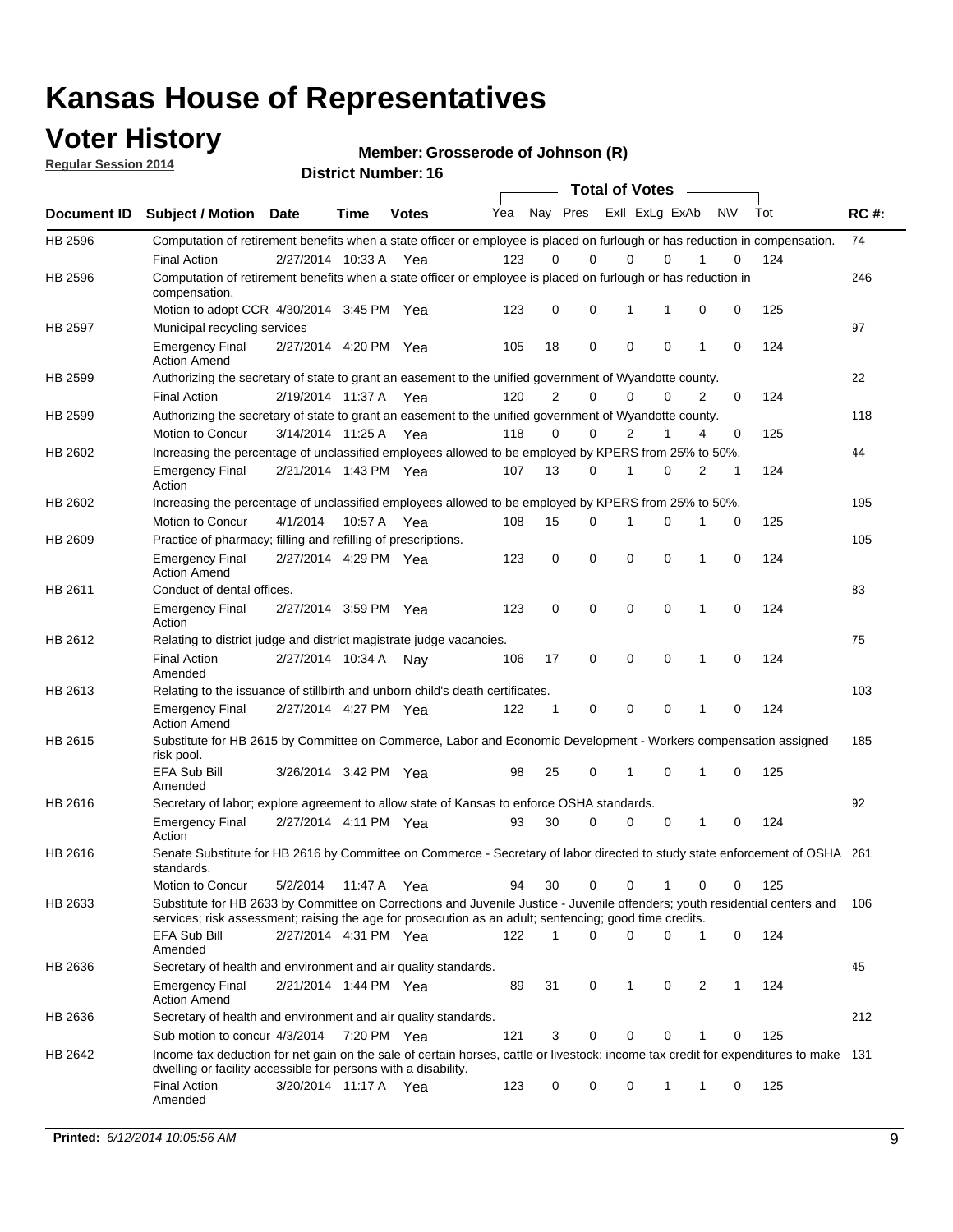## **Voter History**

**Regular Session 2014**

**Member: Grosserode of Johnson (R)** 

|         |                                                                                                                                                                                                                                       |                       |             |              |     |                |             | <b>Total of Votes</b> |              |                |            |     |             |
|---------|---------------------------------------------------------------------------------------------------------------------------------------------------------------------------------------------------------------------------------------|-----------------------|-------------|--------------|-----|----------------|-------------|-----------------------|--------------|----------------|------------|-----|-------------|
|         | Document ID Subject / Motion Date                                                                                                                                                                                                     |                       | Time        | <b>Votes</b> | Yea |                | Nay Pres    | Exll ExLg ExAb        |              |                | <b>NIV</b> | Tot | <b>RC#:</b> |
| HB 2596 | Computation of retirement benefits when a state officer or employee is placed on furlough or has reduction in compensation.                                                                                                           |                       |             |              |     |                |             |                       |              |                |            |     | 74          |
|         | <b>Final Action</b>                                                                                                                                                                                                                   | 2/27/2014 10:33 A     |             | Yea          | 123 | 0              | $\Omega$    | 0                     | $\Omega$     |                | 0          | 124 |             |
| HB 2596 | Computation of retirement benefits when a state officer or employee is placed on furlough or has reduction in<br>compensation.                                                                                                        |                       |             |              |     |                |             |                       |              |                |            |     | 246         |
|         | Motion to adopt CCR 4/30/2014 3:45 PM Yea                                                                                                                                                                                             |                       |             |              | 123 | 0              | 0           | 1                     | 1            | 0              | 0          | 125 |             |
| HB 2597 | Municipal recycling services                                                                                                                                                                                                          |                       |             |              |     |                |             |                       |              |                |            |     | 97          |
|         | <b>Emergency Final</b><br><b>Action Amend</b>                                                                                                                                                                                         | 2/27/2014 4:20 PM Yea |             |              | 105 | 18             | 0           | $\mathbf 0$           | $\mathbf 0$  | 1              | 0          | 124 |             |
| HB 2599 | Authorizing the secretary of state to grant an easement to the unified government of Wyandotte county.                                                                                                                                |                       |             |              |     |                |             |                       |              |                |            |     | 22          |
|         | <b>Final Action</b>                                                                                                                                                                                                                   | 2/19/2014 11:37 A     |             | Yea          | 120 | $\overline{2}$ | $\Omega$    | 0                     | $\Omega$     | $\overline{2}$ | 0          | 124 |             |
| HB 2599 | Authorizing the secretary of state to grant an easement to the unified government of Wyandotte county.                                                                                                                                |                       |             |              |     |                |             |                       |              |                |            |     | 118         |
|         | Motion to Concur                                                                                                                                                                                                                      | 3/14/2014 11:25 A Yea |             |              | 118 | $\Omega$       | $\Omega$    | 2                     | 1            | 4              | 0          | 125 |             |
| HB 2602 | Increasing the percentage of unclassified employees allowed to be employed by KPERS from 25% to 50%.                                                                                                                                  |                       |             |              |     |                |             |                       |              |                |            |     | 44          |
|         | <b>Emergency Final</b><br>Action                                                                                                                                                                                                      | 2/21/2014 1:43 PM Yea |             |              | 107 | 13             | $\Omega$    | 1                     | $\Omega$     | 2              | 1          | 124 |             |
| HB 2602 | Increasing the percentage of unclassified employees allowed to be employed by KPERS from 25% to 50%.                                                                                                                                  |                       |             |              |     |                |             |                       |              |                |            |     | 195         |
|         | Motion to Concur                                                                                                                                                                                                                      | 4/1/2014              | 10:57 A     | Yea          | 108 | 15             | 0           | 1                     | 0            | 1              | 0          | 125 |             |
| HB 2609 | Practice of pharmacy; filling and refilling of prescriptions.                                                                                                                                                                         |                       |             |              |     |                |             |                       |              |                |            |     | 105         |
|         | <b>Emergency Final</b><br><b>Action Amend</b>                                                                                                                                                                                         | 2/27/2014 4:29 PM Yea |             |              | 123 | 0              | $\mathbf 0$ | $\mathbf 0$           | $\mathbf 0$  | 1              | 0          | 124 |             |
| HB 2611 | Conduct of dental offices.                                                                                                                                                                                                            |                       |             |              |     |                |             |                       |              |                |            |     | 83          |
|         | <b>Emergency Final</b><br>Action                                                                                                                                                                                                      | 2/27/2014 3:59 PM Yea |             |              | 123 | 0              | $\mathbf 0$ | $\mathbf 0$           | $\mathbf 0$  | 1              | 0          | 124 |             |
| HB 2612 | Relating to district judge and district magistrate judge vacancies.                                                                                                                                                                   |                       |             |              |     |                |             |                       |              |                |            |     | 75          |
|         | <b>Final Action</b><br>Amended                                                                                                                                                                                                        | 2/27/2014 10:34 A     |             | Nav          | 106 | 17             | $\mathbf 0$ | $\mathbf 0$           | 0            | 1              | 0          | 124 |             |
| HB 2613 | Relating to the issuance of stillbirth and unborn child's death certificates.                                                                                                                                                         |                       |             |              |     |                |             |                       |              |                |            |     | 103         |
|         | <b>Emergency Final</b><br><b>Action Amend</b>                                                                                                                                                                                         | 2/27/2014 4:27 PM Yea |             |              | 122 | 1              | 0           | $\mathbf 0$           | $\mathbf 0$  | 1              | 0          | 124 |             |
| HB 2615 | Substitute for HB 2615 by Committee on Commerce, Labor and Economic Development - Workers compensation assigned<br>risk pool.                                                                                                         |                       |             |              |     |                |             |                       |              |                |            |     | 185         |
|         | EFA Sub Bill<br>Amended                                                                                                                                                                                                               | 3/26/2014 3:42 PM Yea |             |              | 98  | 25             | 0           | 1                     | $\mathbf 0$  | 1              | 0          | 125 |             |
| HB 2616 | Secretary of labor; explore agreement to allow state of Kansas to enforce OSHA standards.                                                                                                                                             |                       |             |              |     |                |             |                       |              |                |            |     | 92          |
|         | <b>Emergency Final</b><br>Action                                                                                                                                                                                                      | 2/27/2014 4:11 PM Yea |             |              | 93  | 30             | 0           | 0                     | 0            | 1              | 0          | 124 |             |
| HB 2616 | Senate Substitute for HB 2616 by Committee on Commerce - Secretary of labor directed to study state enforcement of OSHA 261<br>standards.                                                                                             |                       |             |              |     |                |             |                       |              |                |            |     |             |
|         | Motion to Concur                                                                                                                                                                                                                      | 5/2/2014              | 11:47 A     | Yea          | 94  | 30             | 0           | 0                     | $\mathbf{1}$ | 0              | 0          | 125 |             |
| HB 2633 | Substitute for HB 2633 by Committee on Corrections and Juvenile Justice - Juvenile offenders; youth residential centers and<br>services; risk assessment; raising the age for prosecution as an adult; sentencing; good time credits. |                       |             |              |     |                |             |                       |              |                |            |     | 106         |
|         | <b>EFA Sub Bill</b><br>Amended                                                                                                                                                                                                        | 2/27/2014 4:31 PM Yea |             |              | 122 | 1              | $\Omega$    | 0                     | 0            | $\mathbf{1}$   | 0          | 124 |             |
| HB 2636 | Secretary of health and environment and air quality standards.                                                                                                                                                                        |                       |             |              |     |                |             |                       |              |                |            |     | 45          |
|         | <b>Emergency Final</b><br><b>Action Amend</b>                                                                                                                                                                                         | 2/21/2014 1:44 PM Yea |             |              | 89  | 31             | 0           | 1                     | 0            | 2              | 1          | 124 |             |
| HB 2636 | Secretary of health and environment and air quality standards.                                                                                                                                                                        |                       |             |              |     |                |             |                       |              |                |            |     | 212         |
|         | Sub motion to concur 4/3/2014                                                                                                                                                                                                         |                       | 7:20 PM Yea |              | 121 | 3              | 0           | $\mathbf 0$           | 0            |                | 0          | 125 |             |
| HB 2642 | Income tax deduction for net gain on the sale of certain horses, cattle or livestock; income tax credit for expenditures to make 131                                                                                                  |                       |             |              |     |                |             |                       |              |                |            |     |             |
|         | dwelling or facility accessible for persons with a disability.<br><b>Final Action</b>                                                                                                                                                 | 3/20/2014 11:17 A Yea |             |              | 123 | 0              | 0           | 0                     | 1            | 1              | 0          | 125 |             |
|         | Amended                                                                                                                                                                                                                               |                       |             |              |     |                |             |                       |              |                |            |     |             |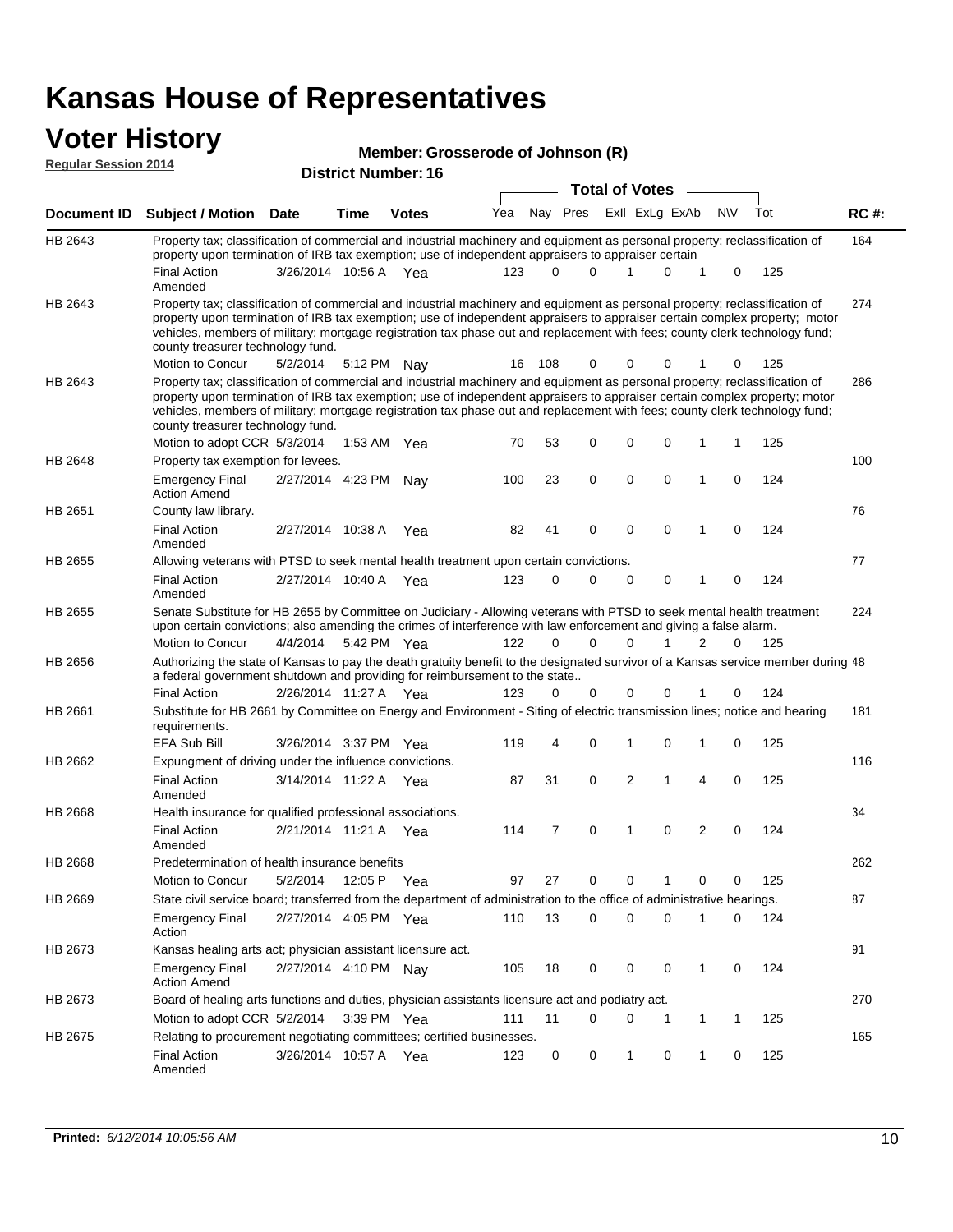| <b>Voter History</b><br><b>Regular Session 2014</b> |                                                                                                                                                                                                                                                                                                                                                                                                                                                               |                       |      | Member: Grosserode of Johnson (R) |     |     |                      |                       |                |                |             |     |             |
|-----------------------------------------------------|---------------------------------------------------------------------------------------------------------------------------------------------------------------------------------------------------------------------------------------------------------------------------------------------------------------------------------------------------------------------------------------------------------------------------------------------------------------|-----------------------|------|-----------------------------------|-----|-----|----------------------|-----------------------|----------------|----------------|-------------|-----|-------------|
|                                                     |                                                                                                                                                                                                                                                                                                                                                                                                                                                               |                       |      | <b>District Number: 16</b>        |     |     |                      | <b>Total of Votes</b> |                |                |             |     |             |
|                                                     |                                                                                                                                                                                                                                                                                                                                                                                                                                                               |                       |      |                                   | Yea |     | Nay Pres             |                       | Exll ExLg ExAb |                | <b>NV</b>   | Tot | <b>RC#:</b> |
| Document ID                                         | <b>Subject / Motion Date</b>                                                                                                                                                                                                                                                                                                                                                                                                                                  |                       | Time | <b>Votes</b>                      |     |     |                      |                       |                |                |             |     |             |
| HB 2643                                             | Property tax; classification of commercial and industrial machinery and equipment as personal property; reclassification of<br>property upon termination of IRB tax exemption; use of independent appraisers to appraiser certain                                                                                                                                                                                                                             |                       |      |                                   |     |     |                      |                       |                |                |             |     | 164         |
|                                                     | <b>Final Action</b><br>Amended                                                                                                                                                                                                                                                                                                                                                                                                                                | 3/26/2014 10:56 A Yea |      |                                   | 123 |     | $\Omega$<br>$\Omega$ | 1                     | 0              | 1              | 0           | 125 |             |
| HB 2643                                             | Property tax; classification of commercial and industrial machinery and equipment as personal property; reclassification of<br>property upon termination of IRB tax exemption; use of independent appraisers to appraiser certain complex property; motor<br>vehicles, members of military; mortgage registration tax phase out and replacement with fees; county clerk technology fund;<br>county treasurer technology fund.                                 |                       |      |                                   |     |     |                      |                       |                |                |             |     | 274         |
|                                                     | Motion to Concur                                                                                                                                                                                                                                                                                                                                                                                                                                              | 5/2/2014              |      | 5:12 PM Nay                       | 16  | 108 | 0                    | 0                     | 0              |                | 0           | 125 |             |
| HB 2643                                             | Property tax; classification of commercial and industrial machinery and equipment as personal property; reclassification of<br>property upon termination of IRB tax exemption; use of independent appraisers to appraiser certain complex property; motor<br>vehicles, members of military; mortgage registration tax phase out and replacement with fees; county clerk technology fund;<br>county treasurer technology fund.<br>Motion to adopt CCR 5/3/2014 |                       |      | 1:53 AM Yea                       | 70  | 53  | 0                    | 0                     | $\mathbf 0$    | 1              | 1           | 125 | 286         |
| HB 2648                                             | Property tax exemption for levees.                                                                                                                                                                                                                                                                                                                                                                                                                            |                       |      |                                   |     |     |                      |                       |                |                |             |     | 100         |
|                                                     | <b>Emergency Final</b><br><b>Action Amend</b>                                                                                                                                                                                                                                                                                                                                                                                                                 | 2/27/2014 4:23 PM     |      | Nay                               | 100 | 23  | 0                    | $\mathbf 0$           | $\mathbf 0$    | 1              | $\mathbf 0$ | 124 |             |
| HB 2651                                             | County law library.                                                                                                                                                                                                                                                                                                                                                                                                                                           |                       |      |                                   |     |     |                      |                       |                |                |             |     | 76          |
|                                                     | <b>Final Action</b><br>Amended                                                                                                                                                                                                                                                                                                                                                                                                                                | 2/27/2014 10:38 A     |      | Yea                               | 82  | 41  | $\mathbf 0$          | 0                     | $\mathbf 0$    | 1              | $\mathbf 0$ | 124 |             |
| HB 2655                                             | Allowing veterans with PTSD to seek mental health treatment upon certain convictions.                                                                                                                                                                                                                                                                                                                                                                         |                       |      |                                   |     |     |                      |                       |                |                |             |     | 77          |
|                                                     | <b>Final Action</b><br>Amended                                                                                                                                                                                                                                                                                                                                                                                                                                | 2/27/2014 10:40 A Yea |      |                                   | 123 |     | $\Omega$<br>$\Omega$ | $\mathbf 0$           | 0              | 1              | 0           | 124 |             |
| HB 2655                                             | Senate Substitute for HB 2655 by Committee on Judiciary - Allowing veterans with PTSD to seek mental health treatment<br>upon certain convictions; also amending the crimes of interference with law enforcement and giving a false alarm.                                                                                                                                                                                                                    |                       |      |                                   |     |     |                      |                       |                |                |             |     | 224         |
|                                                     | Motion to Concur                                                                                                                                                                                                                                                                                                                                                                                                                                              | 4/4/2014              |      | 5:42 PM Yea                       | 122 |     | $\Omega$<br>$\Omega$ | $\Omega$              | 1              | 2              | 0           | 125 |             |
| HB 2656                                             | Authorizing the state of Kansas to pay the death gratuity benefit to the designated survivor of a Kansas service member during 48<br>a federal government shutdown and providing for reimbursement to the state                                                                                                                                                                                                                                               |                       |      |                                   |     |     |                      |                       |                |                |             |     |             |
|                                                     | <b>Final Action</b>                                                                                                                                                                                                                                                                                                                                                                                                                                           | 2/26/2014 11:27 A Yea |      |                                   | 123 |     | $\Omega$<br>0        | 0                     | 0              |                | 0           | 124 |             |
| HB 2661                                             | Substitute for HB 2661 by Committee on Energy and Environment - Siting of electric transmission lines; notice and hearing<br>requirements.<br><b>EFA Sub Bill</b>                                                                                                                                                                                                                                                                                             |                       |      |                                   | 119 |     | 0<br>4               | 1                     | 0              | 1              | 0           | 125 | 181         |
| HB 2662                                             | Expungment of driving under the influence convictions.                                                                                                                                                                                                                                                                                                                                                                                                        | 3/26/2014 3:37 PM Yea |      |                                   |     |     |                      |                       |                |                |             |     | 116         |
|                                                     | <b>Final Action</b><br>Amended                                                                                                                                                                                                                                                                                                                                                                                                                                | 3/14/2014 11:22 A     |      | Yea                               | 87  | 31  | 0                    | 2                     | 1              | 4              | $\mathbf 0$ | 125 |             |
| HB 2668                                             | Health insurance for qualified professional associations.                                                                                                                                                                                                                                                                                                                                                                                                     |                       |      |                                   |     |     |                      |                       |                |                |             |     | 34          |
|                                                     | <b>Final Action</b><br>Amended                                                                                                                                                                                                                                                                                                                                                                                                                                | 2/21/2014 11:21 A Yea |      |                                   | 114 |     | 7<br>0               | 1                     | $\mathbf 0$    | $\overline{2}$ | 0           | 124 |             |
| HB 2668                                             | Predetermination of health insurance benefits                                                                                                                                                                                                                                                                                                                                                                                                                 |                       |      |                                   |     |     |                      |                       |                |                |             |     | 262         |
|                                                     | Motion to Concur                                                                                                                                                                                                                                                                                                                                                                                                                                              | 5/2/2014              |      | 12:05 P Yea                       | 97  | 27  | 0                    | 0                     |                | 0              | 0           | 125 |             |
| HB 2669                                             | State civil service board; transferred from the department of administration to the office of administrative hearings.                                                                                                                                                                                                                                                                                                                                        |                       |      |                                   |     |     |                      |                       |                |                |             |     | 87          |
|                                                     | <b>Emergency Final</b><br>Action                                                                                                                                                                                                                                                                                                                                                                                                                              | 2/27/2014 4:05 PM Yea |      |                                   | 110 | 13  | 0                    | 0                     | 0              | 1              | 0           | 124 |             |
| HB 2673                                             | Kansas healing arts act; physician assistant licensure act.                                                                                                                                                                                                                                                                                                                                                                                                   |                       |      |                                   |     |     |                      |                       |                |                |             |     | 91          |
|                                                     | <b>Emergency Final</b><br><b>Action Amend</b>                                                                                                                                                                                                                                                                                                                                                                                                                 | 2/27/2014 4:10 PM Nay |      |                                   | 105 | 18  | 0                    | 0                     | 0              | 1              | 0           | 124 |             |
| HB 2673                                             | Board of healing arts functions and duties, physician assistants licensure act and podiatry act.                                                                                                                                                                                                                                                                                                                                                              |                       |      |                                   |     |     |                      |                       |                |                |             |     | 270         |
|                                                     | Motion to adopt CCR 5/2/2014                                                                                                                                                                                                                                                                                                                                                                                                                                  |                       |      | 3:39 PM Yea                       | 111 | 11  | $\Omega$             | 0                     | 1              | 1              | 1           | 125 |             |
| HB 2675                                             | Relating to procurement negotiating committees; certified businesses.                                                                                                                                                                                                                                                                                                                                                                                         |                       |      |                                   |     |     |                      |                       |                |                |             |     | 165         |
|                                                     | <b>Final Action</b>                                                                                                                                                                                                                                                                                                                                                                                                                                           | 3/26/2014 10:57 A Yea |      |                                   | 123 |     | 0<br>0               | 1                     | 0              | 1              | 0           | 125 |             |

Amended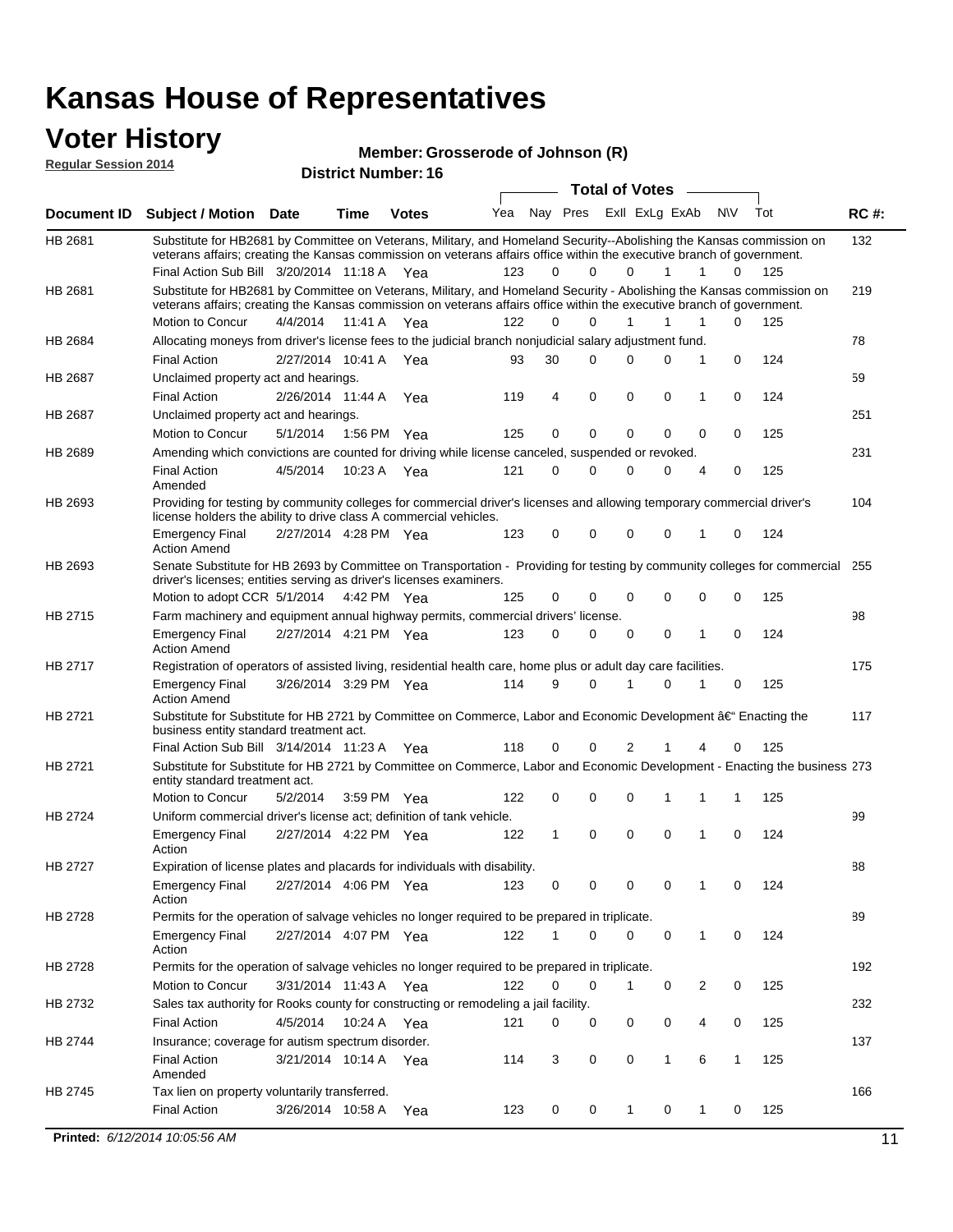#### **Voter History Regular Session 2014**

**Member: Grosserode of Johnson (R)** 

| nuyurur Uuddivii 4017 |                                                                                                                                                                                                                                                                                               |                       |                       | <b>District Number: 16</b> |     |              |             |                         |             |     |              |     |             |
|-----------------------|-----------------------------------------------------------------------------------------------------------------------------------------------------------------------------------------------------------------------------------------------------------------------------------------------|-----------------------|-----------------------|----------------------------|-----|--------------|-------------|-------------------------|-------------|-----|--------------|-----|-------------|
|                       |                                                                                                                                                                                                                                                                                               |                       |                       |                            |     |              |             | <b>Total of Votes</b>   |             |     |              |     |             |
| <b>Document ID</b>    | <b>Subject / Motion Date</b>                                                                                                                                                                                                                                                                  |                       | <b>Time</b>           | <b>Votes</b>               | Yea |              |             | Nay Pres Exll ExLg ExAb |             | N\V |              | Tot | <b>RC#:</b> |
| HB 2681               | Substitute for HB2681 by Committee on Veterans, Military, and Homeland Security--Abolishing the Kansas commission on<br>veterans affairs; creating the Kansas commission on veterans affairs office within the executive branch of government.<br>Final Action Sub Bill 3/20/2014 11:18 A Yea |                       |                       |                            | 123 | 0            | $\Omega$    | $\Omega$                | 1           | 1   | 0            | 125 | 132         |
| HB 2681               | Substitute for HB2681 by Committee on Veterans, Military, and Homeland Security - Abolishing the Kansas commission on<br>veterans affairs; creating the Kansas commission on veterans affairs office within the executive branch of government.                                               |                       |                       |                            |     |              |             |                         |             |     |              |     | 219         |
|                       | Motion to Concur                                                                                                                                                                                                                                                                              | 4/4/2014              | 11:41 A               | Yea                        | 122 | 0            | $\Omega$    | 1                       | 1           | 1   | $\Omega$     | 125 |             |
| HB 2684               | Allocating moneys from driver's license fees to the judicial branch nonjudicial salary adjustment fund.                                                                                                                                                                                       |                       |                       |                            |     |              |             |                         |             |     |              |     | 78          |
|                       | <b>Final Action</b>                                                                                                                                                                                                                                                                           |                       | 2/27/2014 10:41 A Yea |                            | 93  | 30           | $\Omega$    | 0                       | 0           | 1   | $\mathbf 0$  | 124 |             |
| <b>HB 2687</b>        | Unclaimed property act and hearings.                                                                                                                                                                                                                                                          |                       |                       |                            |     |              |             |                         |             |     |              |     | 59          |
|                       | <b>Final Action</b>                                                                                                                                                                                                                                                                           |                       | 2/26/2014 11:44 A     | Yea                        | 119 | 4            | $\mathbf 0$ | 0                       | $\mathbf 0$ | 1   | 0            | 124 |             |
| HB 2687               | Unclaimed property act and hearings.<br>Motion to Concur                                                                                                                                                                                                                                      | 5/1/2014              |                       | 1:56 PM Yea                | 125 | 0            | 0           | 0                       | 0           | 0   | 0            | 125 | 251         |
| HB 2689               | Amending which convictions are counted for driving while license canceled, suspended or revoked.                                                                                                                                                                                              |                       |                       |                            |     |              |             |                         |             |     |              |     | 231         |
|                       | <b>Final Action</b><br>Amended                                                                                                                                                                                                                                                                | 4/5/2014              | 10:23 A               | Yea                        | 121 | 0            | $\Omega$    | 0                       | 0           | 4   | 0            | 125 |             |
| HB 2693               | Providing for testing by community colleges for commercial driver's licenses and allowing temporary commercial driver's<br>license holders the ability to drive class A commercial vehicles.                                                                                                  |                       |                       |                            |     |              |             |                         |             |     |              |     | 104         |
|                       | <b>Emergency Final</b><br><b>Action Amend</b>                                                                                                                                                                                                                                                 | 2/27/2014 4:28 PM Yea |                       |                            | 123 | 0            | 0           | 0                       | 0           | 1   | $\mathbf 0$  | 124 |             |
| HB 2693               | Senate Substitute for HB 2693 by Committee on Transportation - Providing for testing by community colleges for commercial<br>driver's licenses; entities serving as driver's licenses examiners.                                                                                              |                       |                       |                            |     |              |             |                         |             |     |              |     | 255         |
|                       | Motion to adopt CCR 5/1/2014                                                                                                                                                                                                                                                                  |                       |                       | 4:42 PM Yea                | 125 | 0            | $\Omega$    | 0                       | 0           | 0   | $\mathbf 0$  | 125 |             |
| HB 2715               | Farm machinery and equipment annual highway permits, commercial drivers' license.<br><b>Emergency Final</b><br><b>Action Amend</b>                                                                                                                                                            |                       | 2/27/2014 4:21 PM Yea |                            | 123 | 0            | 0           | 0                       | 0           | 1   | $\mathbf 0$  | 124 | 98          |
| HB 2717               | Registration of operators of assisted living, residential health care, home plus or adult day care facilities.                                                                                                                                                                                |                       |                       |                            |     |              |             |                         |             |     |              |     | 175         |
|                       | <b>Emergency Final</b><br><b>Action Amend</b>                                                                                                                                                                                                                                                 |                       | 3/26/2014 3:29 PM Yea |                            | 114 | 9            | $\Omega$    | 1                       | 0           | 1   | 0            | 125 |             |
| HB 2721               | Substitute for Substitute for HB 2721 by Committee on Commerce, Labor and Economic Development †Enacting the<br>business entity standard treatment act.                                                                                                                                       |                       |                       |                            |     |              |             |                         |             |     |              |     | 117         |
|                       | Final Action Sub Bill 3/14/2014 11:23 A Yea                                                                                                                                                                                                                                                   |                       |                       |                            | 118 | 0            | $\Omega$    | 2                       |             |     | 0            | 125 |             |
| HB 2721               | Substitute for Substitute for HB 2721 by Committee on Commerce, Labor and Economic Development - Enacting the business 273<br>entity standard treatment act.                                                                                                                                  |                       |                       |                            |     |              |             |                         |             |     |              |     |             |
|                       | Motion to Concur                                                                                                                                                                                                                                                                              | 5/2/2014              |                       | 3:59 PM Yea                | 122 | 0            | 0           | 0                       | 1           | 1   | 1            | 125 |             |
| HB 2724               | Uniform commercial driver's license act; definition of tank vehicle.<br><b>Emergency Final</b><br>Action                                                                                                                                                                                      | 2/27/2014 4:22 PM Yea |                       |                            | 122 | $\mathbf{1}$ | 0           | 0                       | 0           | 1   | $\mathbf 0$  | 124 | 99          |
| HB 2727               | Expiration of license plates and placards for individuals with disability.                                                                                                                                                                                                                    |                       |                       |                            |     |              |             |                         |             |     |              |     | 88          |
|                       | <b>Emergency Final</b><br>Action                                                                                                                                                                                                                                                              |                       | 2/27/2014 4:06 PM Yea |                            | 123 | 0            | 0           | 0                       | 0           | 1   | 0            | 124 |             |
| HB 2728               | Permits for the operation of salvage vehicles no longer required to be prepared in triplicate.                                                                                                                                                                                                |                       |                       |                            |     |              |             |                         |             |     |              |     | 89          |
|                       | <b>Emergency Final</b><br>Action                                                                                                                                                                                                                                                              |                       | 2/27/2014 4:07 PM Yea |                            | 122 | 1            | 0           | 0                       | 0           | 1   | 0            | 124 |             |
| HB 2728               | Permits for the operation of salvage vehicles no longer required to be prepared in triplicate.                                                                                                                                                                                                |                       |                       |                            |     |              |             |                         |             |     |              |     | 192         |
|                       | <b>Motion to Concur</b>                                                                                                                                                                                                                                                                       |                       | 3/31/2014 11:43 A Yea |                            | 122 | 0            | 0           | 1                       | 0           | 2   | 0            | 125 |             |
| HB 2732               | Sales tax authority for Rooks county for constructing or remodeling a jail facility.                                                                                                                                                                                                          |                       |                       |                            |     |              |             |                         |             |     |              |     | 232         |
|                       | <b>Final Action</b>                                                                                                                                                                                                                                                                           | 4/5/2014              |                       | 10:24 A Yea                | 121 | 0            | 0           | 0                       | 0           | 4   | 0            | 125 |             |
| HB 2744               | Insurance; coverage for autism spectrum disorder.                                                                                                                                                                                                                                             |                       |                       |                            |     |              |             |                         |             |     |              |     | 137         |
|                       | <b>Final Action</b><br>Amended                                                                                                                                                                                                                                                                |                       | 3/21/2014 10:14 A Yea |                            | 114 | 3            | 0           | 0                       | 1           | 6   | $\mathbf{1}$ | 125 |             |
| HB 2745               | Tax lien on property voluntarily transferred.                                                                                                                                                                                                                                                 |                       |                       |                            |     |              |             |                         |             |     |              |     | 166         |
|                       | <b>Final Action</b>                                                                                                                                                                                                                                                                           |                       | 3/26/2014 10:58 A     | Yea                        | 123 | 0            | 0           | 1                       | 0           | 1   | 0            | 125 |             |
|                       | Printed: 6/12/2014 10:05:56 AM                                                                                                                                                                                                                                                                |                       |                       |                            |     |              |             |                         |             |     |              |     |             |
|                       |                                                                                                                                                                                                                                                                                               |                       |                       |                            |     |              |             |                         |             |     |              |     | 11          |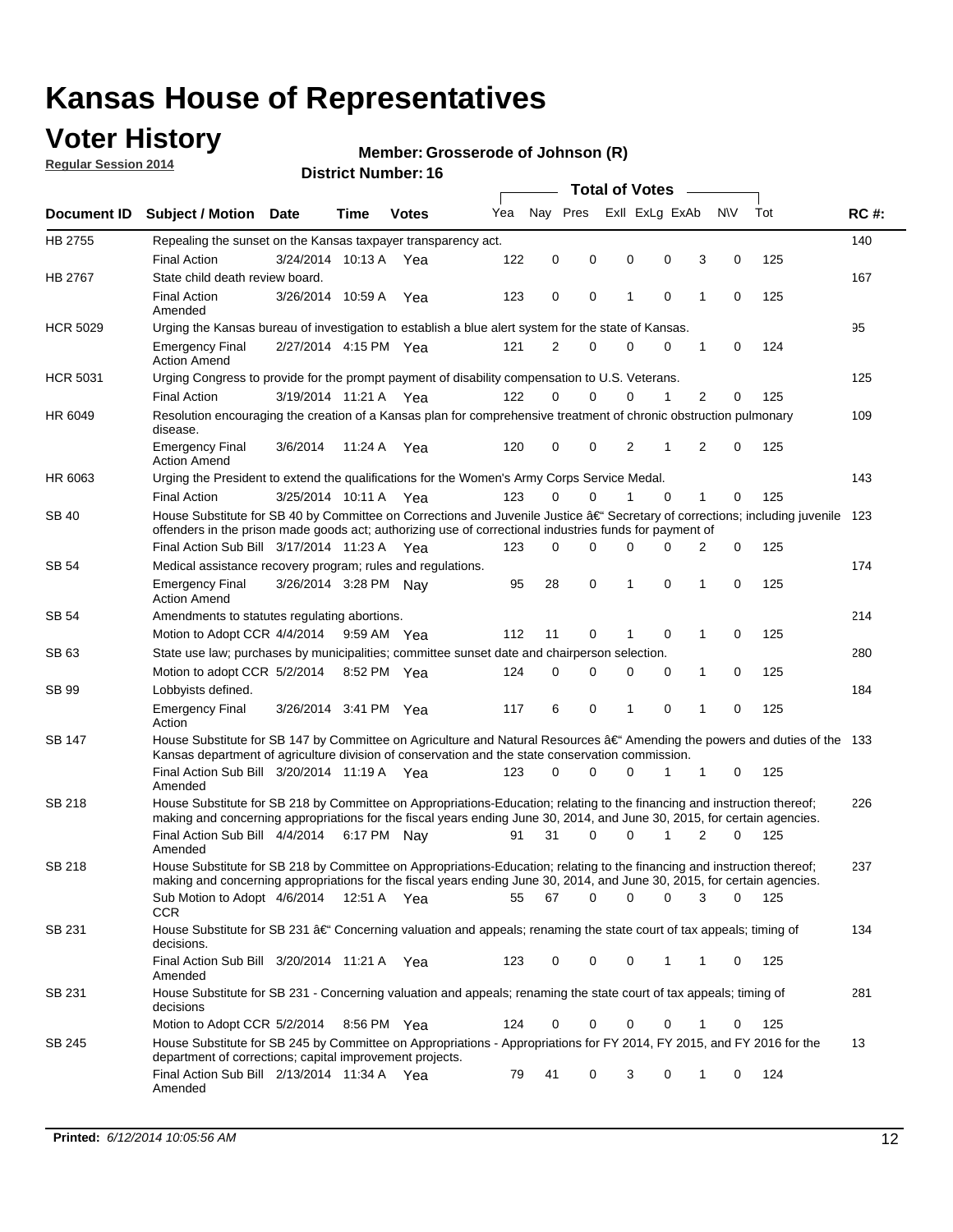## **Voter History**

**Regular Session 2014**

#### **Member: Grosserode of Johnson (R)**

|                    |                                                                                                                                                                                                                                      |                       |             |              |     | <b>Total of Votes</b> |          |  |          |                |                |          |     |             |
|--------------------|--------------------------------------------------------------------------------------------------------------------------------------------------------------------------------------------------------------------------------------|-----------------------|-------------|--------------|-----|-----------------------|----------|--|----------|----------------|----------------|----------|-----|-------------|
| <b>Document ID</b> | <b>Subject / Motion Date</b>                                                                                                                                                                                                         |                       | Time        | <b>Votes</b> | Yea | Nay Pres              |          |  |          | Exll ExLg ExAb | N\V            | Tot      |     | <b>RC#:</b> |
| HB 2755            | Repealing the sunset on the Kansas taxpayer transparency act.                                                                                                                                                                        |                       |             |              |     |                       |          |  |          |                |                |          |     | 140         |
|                    | <b>Final Action</b>                                                                                                                                                                                                                  | 3/24/2014 10:13 A     |             | Yea          | 122 | 0                     | 0        |  | 0        | 0              | 3              | 0        | 125 |             |
| HB 2767            | State child death review board.                                                                                                                                                                                                      |                       |             |              |     |                       |          |  |          |                |                |          |     | 167         |
|                    | <b>Final Action</b><br>Amended                                                                                                                                                                                                       | 3/26/2014 10:59 A     |             | Yea          | 123 | 0                     | 0        |  | 1        | $\mathbf 0$    | 1              | 0        | 125 |             |
| <b>HCR 5029</b>    | Urging the Kansas bureau of investigation to establish a blue alert system for the state of Kansas.                                                                                                                                  |                       |             |              |     |                       |          |  |          |                |                |          |     | 95          |
|                    | <b>Emergency Final</b><br><b>Action Amend</b>                                                                                                                                                                                        | 2/27/2014 4:15 PM Yea |             |              | 121 | 2                     | 0        |  | 0        | 0              | 1              | 0        | 124 |             |
| <b>HCR 5031</b>    | Urging Congress to provide for the prompt payment of disability compensation to U.S. Veterans.                                                                                                                                       |                       |             |              |     |                       |          |  |          |                |                |          |     | 125         |
|                    | <b>Final Action</b>                                                                                                                                                                                                                  | 3/19/2014 11:21 A Yea |             |              | 122 | $\Omega$              | 0        |  | 0        | 1              | 2              | 0        | 125 |             |
| HR 6049            | Resolution encouraging the creation of a Kansas plan for comprehensive treatment of chronic obstruction pulmonary<br>disease.                                                                                                        |                       |             |              |     |                       |          |  |          |                |                |          |     | 109         |
|                    | <b>Emergency Final</b><br><b>Action Amend</b>                                                                                                                                                                                        | 3/6/2014              | 11:24 A     | Yea          | 120 | 0                     | 0        |  | 2        | 1              | $\overline{2}$ | 0        | 125 |             |
| HR 6063            | Urging the President to extend the qualifications for the Women's Army Corps Service Medal.                                                                                                                                          |                       |             |              |     |                       |          |  |          |                |                |          |     | 143         |
|                    | <b>Final Action</b>                                                                                                                                                                                                                  | 3/25/2014 10:11 A Yea |             |              | 123 | $\Omega$              | $\Omega$ |  | 1        | $\Omega$       | 1              | 0        | 125 |             |
| SB 40              | House Substitute for SB 40 by Committee on Corrections and Juvenile Justice †Secretary of corrections; including juvenile<br>offenders in the prison made goods act; authorizing use of correctional industries funds for payment of |                       |             |              |     |                       |          |  |          |                |                |          |     | 123         |
|                    | Final Action Sub Bill 3/17/2014 11:23 A Yea                                                                                                                                                                                          |                       |             |              | 123 | 0                     | 0        |  | $\Omega$ | $\Omega$       | 2              | 0        | 125 |             |
| SB 54              | Medical assistance recovery program; rules and regulations.                                                                                                                                                                          |                       |             |              |     |                       |          |  |          |                |                |          |     | 174         |
|                    | <b>Emergency Final</b><br><b>Action Amend</b>                                                                                                                                                                                        | 3/26/2014 3:28 PM Nay |             |              | 95  | 28                    | 0        |  | 1        | $\mathbf 0$    | 1              | 0        | 125 |             |
| <b>SB 54</b>       | Amendments to statutes regulating abortions.                                                                                                                                                                                         |                       |             |              |     |                       |          |  |          |                |                |          |     | 214         |
|                    | Motion to Adopt CCR 4/4/2014                                                                                                                                                                                                         |                       |             | 9:59 AM Yea  | 112 | 11                    | 0        |  | 1        | $\mathbf 0$    | 1              | 0        | 125 |             |
| SB 63              | State use law; purchases by municipalities; committee sunset date and chairperson selection.                                                                                                                                         |                       |             |              |     |                       |          |  |          |                |                |          | 280 |             |
|                    | Motion to adopt CCR 5/2/2014                                                                                                                                                                                                         |                       |             | 8:52 PM Yea  | 124 | 0                     | 0        |  | 0        | $\mathbf 0$    | 1              | 0        | 125 |             |
| <b>SB 99</b>       | Lobbyists defined.                                                                                                                                                                                                                   |                       |             |              |     |                       |          |  |          |                |                |          |     | 184         |
|                    | <b>Emergency Final</b><br>Action                                                                                                                                                                                                     | 3/26/2014 3:41 PM Yea |             |              | 117 | 6                     | 0        |  | 1        | $\mathbf 0$    | 1              | 0        | 125 |             |
| SB 147             | House Substitute for SB 147 by Committee on Agriculture and Natural Resources †Amending the powers and duties of the 133<br>Kansas department of agriculture division of conservation and the state conservation commission.         |                       |             |              |     |                       |          |  |          |                |                |          |     |             |
|                    | Final Action Sub Bill 3/20/2014 11:19 A Yea<br>Amended                                                                                                                                                                               |                       |             |              | 123 | 0                     | 0        |  | 0        | 1              | 1              | 0        | 125 |             |
| <b>SB 218</b>      | House Substitute for SB 218 by Committee on Appropriations-Education; relating to the financing and instruction thereof;                                                                                                             |                       |             |              |     |                       |          |  |          |                |                |          |     | 226         |
|                    | making and concerning appropriations for the fiscal years ending June 30, 2014, and June 30, 2015, for certain agencies.                                                                                                             |                       |             |              |     |                       |          |  |          |                |                |          |     |             |
|                    | Final Action Sub Bill 4/4/2014<br>Amended                                                                                                                                                                                            |                       | 6:17 PM Nay |              | 91  | 31                    | $\Omega$ |  | 0        | 1              | $\overline{2}$ | $\Omega$ | 125 |             |
| <b>SB 218</b>      | House Substitute for SB 218 by Committee on Appropriations-Education; relating to the financing and instruction thereof;                                                                                                             |                       |             |              |     |                       |          |  |          |                |                |          |     | 237         |
|                    | making and concerning appropriations for the fiscal years ending June 30, 2014, and June 30, 2015, for certain agencies.                                                                                                             |                       |             |              |     |                       |          |  |          |                |                |          |     |             |
|                    | Sub Motion to Adopt 4/6/2014 12:51 A Yea<br><b>CCR</b>                                                                                                                                                                               |                       |             |              | 55  | 67                    | 0        |  | 0        | 0              | 3              | 0        | 125 |             |
| SB 231             | House Substitute for SB 231 †Concerning valuation and appeals; renaming the state court of tax appeals; timing of<br>decisions.                                                                                                      |                       |             |              |     |                       |          |  |          |                |                |          |     | 134         |
|                    | Final Action Sub Bill 3/20/2014 11:21 A Yea<br>Amended                                                                                                                                                                               |                       |             |              | 123 | 0                     | 0        |  | 0        | $\mathbf{1}$   | 1              | 0        | 125 |             |
| SB 231             | House Substitute for SB 231 - Concerning valuation and appeals; renaming the state court of tax appeals; timing of<br>decisions                                                                                                      |                       |             |              |     |                       |          |  |          |                |                |          |     | 281         |
|                    | Motion to Adopt CCR 5/2/2014 8:56 PM Yea                                                                                                                                                                                             |                       |             |              | 124 | 0                     | 0        |  | 0        | $\mathbf 0$    | 1              | 0        | 125 |             |
| SB 245             | House Substitute for SB 245 by Committee on Appropriations - Appropriations for FY 2014, FY 2015, and FY 2016 for the<br>department of corrections; capital improvement projects.                                                    |                       |             |              |     |                       |          |  |          |                |                |          |     | 13          |
|                    | Final Action Sub Bill 2/13/2014 11:34 A Yea<br>Amended                                                                                                                                                                               |                       |             |              | 79  | 41                    | 0        |  | 3        | 0              | 1              | 0        | 124 |             |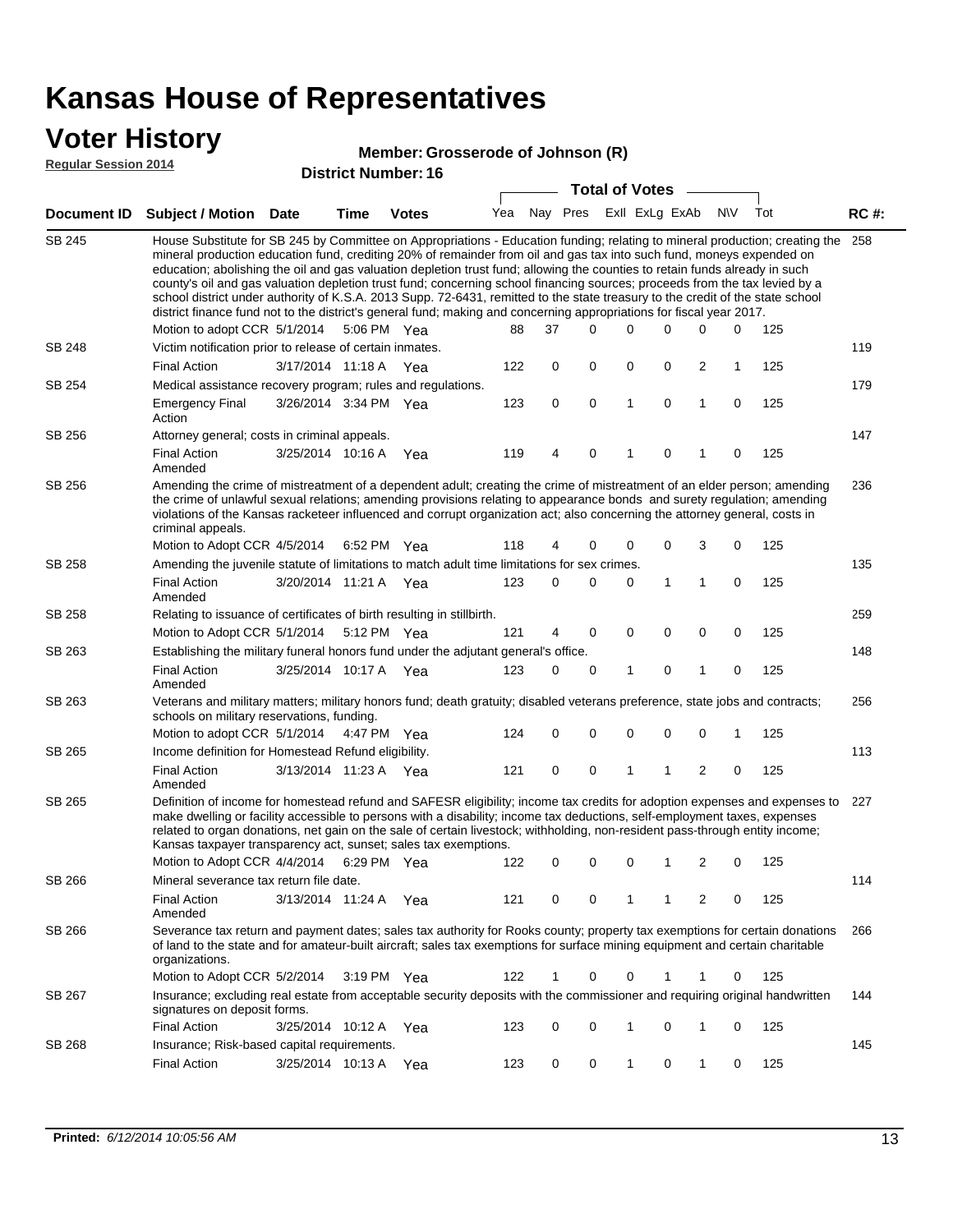## **Voter History**

#### **Member: Grosserode of Johnson (R)**

**Regular Session 2014**

|               |                                                                                                                                                                                                                                                                                                                                                                                                                                                                                                                                                                                                                                                                                                                                                                               |                       |      |                       |     |          |          | <b>Total of Votes</b> |  |              |                |             |     |             |
|---------------|-------------------------------------------------------------------------------------------------------------------------------------------------------------------------------------------------------------------------------------------------------------------------------------------------------------------------------------------------------------------------------------------------------------------------------------------------------------------------------------------------------------------------------------------------------------------------------------------------------------------------------------------------------------------------------------------------------------------------------------------------------------------------------|-----------------------|------|-----------------------|-----|----------|----------|-----------------------|--|--------------|----------------|-------------|-----|-------------|
|               | Document ID Subject / Motion Date                                                                                                                                                                                                                                                                                                                                                                                                                                                                                                                                                                                                                                                                                                                                             |                       | Time | <b>Votes</b>          | Yea | Nay Pres |          | Exll ExLg ExAb        |  |              |                | <b>NV</b>   | Tot | <b>RC#:</b> |
| <b>SB 245</b> | House Substitute for SB 245 by Committee on Appropriations - Education funding; relating to mineral production; creating the<br>mineral production education fund, crediting 20% of remainder from oil and gas tax into such fund, moneys expended on<br>education; abolishing the oil and gas valuation depletion trust fund; allowing the counties to retain funds already in such<br>county's oil and gas valuation depletion trust fund; concerning school financing sources; proceeds from the tax levied by a<br>school district under authority of K.S.A. 2013 Supp. 72-6431, remitted to the state treasury to the credit of the state school<br>district finance fund not to the district's general fund; making and concerning appropriations for fiscal year 2017. |                       |      |                       |     |          |          |                       |  |              |                |             |     | 258         |
|               | Motion to adopt CCR 5/1/2014 5:06 PM Yea                                                                                                                                                                                                                                                                                                                                                                                                                                                                                                                                                                                                                                                                                                                                      |                       |      |                       | 88  | 37       | $\Omega$ | 0                     |  | 0            | 0              | 0           | 125 |             |
| <b>SB 248</b> | Victim notification prior to release of certain inmates.                                                                                                                                                                                                                                                                                                                                                                                                                                                                                                                                                                                                                                                                                                                      |                       |      |                       |     |          |          |                       |  |              |                |             |     | 119         |
|               | <b>Final Action</b>                                                                                                                                                                                                                                                                                                                                                                                                                                                                                                                                                                                                                                                                                                                                                           | 3/17/2014 11:18 A Yea |      |                       | 122 | 0        | 0        | 0                     |  | 0            | 2              | 1           | 125 |             |
| SB 254        | Medical assistance recovery program; rules and regulations.                                                                                                                                                                                                                                                                                                                                                                                                                                                                                                                                                                                                                                                                                                                   |                       |      |                       |     |          |          |                       |  |              |                |             |     | 179         |
|               | <b>Emergency Final</b><br>Action                                                                                                                                                                                                                                                                                                                                                                                                                                                                                                                                                                                                                                                                                                                                              | 3/26/2014 3:34 PM Yea |      |                       | 123 | 0        | 0        | $\mathbf{1}$          |  | 0            | 1              | 0           | 125 |             |
| SB 256        | Attorney general; costs in criminal appeals.                                                                                                                                                                                                                                                                                                                                                                                                                                                                                                                                                                                                                                                                                                                                  |                       |      |                       |     |          |          |                       |  |              |                |             |     | 147         |
|               | <b>Final Action</b><br>Amended                                                                                                                                                                                                                                                                                                                                                                                                                                                                                                                                                                                                                                                                                                                                                | 3/25/2014 10:16 A     |      | Yea                   | 119 | 4        | 0        | 1                     |  | 0            | 1              | 0           | 125 |             |
| SB 256        | Amending the crime of mistreatment of a dependent adult; creating the crime of mistreatment of an elder person; amending<br>the crime of unlawful sexual relations; amending provisions relating to appearance bonds and surety regulation; amending<br>violations of the Kansas racketeer influenced and corrupt organization act; also concerning the attorney general, costs in<br>criminal appeals.                                                                                                                                                                                                                                                                                                                                                                       |                       |      |                       |     |          |          |                       |  |              |                |             |     | 236         |
|               | Motion to Adopt CCR 4/5/2014                                                                                                                                                                                                                                                                                                                                                                                                                                                                                                                                                                                                                                                                                                                                                  |                       |      | 6:52 PM Yea           | 118 | 4        | 0        | 0                     |  | 0            | 3              | 0           | 125 |             |
| SB 258        | Amending the juvenile statute of limitations to match adult time limitations for sex crimes.                                                                                                                                                                                                                                                                                                                                                                                                                                                                                                                                                                                                                                                                                  |                       |      |                       |     |          |          |                       |  |              |                |             |     | 135         |
|               | <b>Final Action</b><br>Amended                                                                                                                                                                                                                                                                                                                                                                                                                                                                                                                                                                                                                                                                                                                                                | 3/20/2014 11:21 A Yea |      |                       | 123 | 0        | 0        | 0                     |  | $\mathbf{1}$ | 1              | 0           | 125 |             |
| SB 258        | Relating to issuance of certificates of birth resulting in stillbirth.                                                                                                                                                                                                                                                                                                                                                                                                                                                                                                                                                                                                                                                                                                        |                       |      |                       |     |          |          |                       |  |              |                |             |     | 259         |
|               | Motion to Adopt CCR 5/1/2014                                                                                                                                                                                                                                                                                                                                                                                                                                                                                                                                                                                                                                                                                                                                                  |                       |      | 5:12 PM Yea           | 121 | 4        | 0        | 0                     |  | $\mathbf 0$  | 0              | 0           | 125 |             |
| SB 263        | Establishing the military funeral honors fund under the adjutant general's office.                                                                                                                                                                                                                                                                                                                                                                                                                                                                                                                                                                                                                                                                                            |                       |      |                       |     |          |          |                       |  |              |                |             |     | 148         |
|               | <b>Final Action</b><br>Amended                                                                                                                                                                                                                                                                                                                                                                                                                                                                                                                                                                                                                                                                                                                                                | 3/25/2014 10:17 A Yea |      |                       | 123 | 0        | 0        | 1                     |  | 0            | 1              | 0           | 125 |             |
| SB 263        | Veterans and military matters; military honors fund; death gratuity; disabled veterans preference, state jobs and contracts;<br>schools on military reservations, funding.                                                                                                                                                                                                                                                                                                                                                                                                                                                                                                                                                                                                    |                       |      |                       |     |          |          |                       |  |              |                |             |     | 256         |
|               | Motion to adopt CCR 5/1/2014                                                                                                                                                                                                                                                                                                                                                                                                                                                                                                                                                                                                                                                                                                                                                  |                       |      | 4:47 PM Yea           | 124 | 0        | 0        | 0                     |  | $\mathbf 0$  | 0              | 1           | 125 |             |
| SB 265        | Income definition for Homestead Refund eligibility.                                                                                                                                                                                                                                                                                                                                                                                                                                                                                                                                                                                                                                                                                                                           |                       |      |                       |     |          |          |                       |  |              |                |             |     | 113         |
|               | <b>Final Action</b><br>Amended                                                                                                                                                                                                                                                                                                                                                                                                                                                                                                                                                                                                                                                                                                                                                | 3/13/2014 11:23 A Yea |      |                       | 121 | 0        | 0        | 1                     |  | 1            | $\overline{2}$ | $\mathbf 0$ | 125 |             |
| SB 265        | Definition of income for homestead refund and SAFESR eligibility; income tax credits for adoption expenses and expenses to<br>make dwelling or facility accessible to persons with a disability; income tax deductions, self-employment taxes, expenses<br>related to organ donations, net gain on the sale of certain livestock; withholding, non-resident pass-through entity income;<br>Kansas taxpayer transparency act, sunset; sales tax exemptions.                                                                                                                                                                                                                                                                                                                    |                       |      |                       |     |          |          |                       |  |              |                |             |     | 227         |
|               | Motion to Adopt CCR 4/4/2014 6:29 PM Yea                                                                                                                                                                                                                                                                                                                                                                                                                                                                                                                                                                                                                                                                                                                                      |                       |      |                       | 122 | 0        | 0        | 0                     |  | 1            | 2              | 0           | 125 |             |
| SB 266        | Mineral severance tax return file date.                                                                                                                                                                                                                                                                                                                                                                                                                                                                                                                                                                                                                                                                                                                                       |                       |      |                       |     |          |          |                       |  |              |                |             |     | 114         |
|               | <b>Final Action</b><br>Amended                                                                                                                                                                                                                                                                                                                                                                                                                                                                                                                                                                                                                                                                                                                                                | 3/13/2014 11:24 A Yea |      |                       | 121 | 0        | 0        | 1                     |  | 1            | 2              | 0           | 125 |             |
| SB 266        | Severance tax return and payment dates; sales tax authority for Rooks county; property tax exemptions for certain donations<br>of land to the state and for amateur-built aircraft; sales tax exemptions for surface mining equipment and certain charitable<br>organizations.                                                                                                                                                                                                                                                                                                                                                                                                                                                                                                |                       |      |                       |     |          |          |                       |  |              |                |             |     | 266         |
|               | Motion to Adopt CCR 5/2/2014                                                                                                                                                                                                                                                                                                                                                                                                                                                                                                                                                                                                                                                                                                                                                  |                       |      | $3:19 \text{ PM}$ Yea | 122 | 1        | 0        | 0                     |  | 1            | 1              | 0           | 125 |             |
| SB 267        | Insurance; excluding real estate from acceptable security deposits with the commissioner and requiring original handwritten<br>signatures on deposit forms.                                                                                                                                                                                                                                                                                                                                                                                                                                                                                                                                                                                                                   |                       |      |                       |     |          |          |                       |  |              |                |             |     | 144         |
|               | <b>Final Action</b>                                                                                                                                                                                                                                                                                                                                                                                                                                                                                                                                                                                                                                                                                                                                                           | 3/25/2014 10:12 A Yea |      |                       | 123 | 0        | 0        | 1                     |  | 0            | 1              | 0           | 125 |             |
| SB 268        | Insurance; Risk-based capital requirements.                                                                                                                                                                                                                                                                                                                                                                                                                                                                                                                                                                                                                                                                                                                                   |                       |      |                       |     |          |          |                       |  |              |                |             |     | 145         |
|               | <b>Final Action</b>                                                                                                                                                                                                                                                                                                                                                                                                                                                                                                                                                                                                                                                                                                                                                           | 3/25/2014 10:13 A Yea |      |                       | 123 | 0        | 0        | $\mathbf{1}$          |  | 0            | 1              | 0           | 125 |             |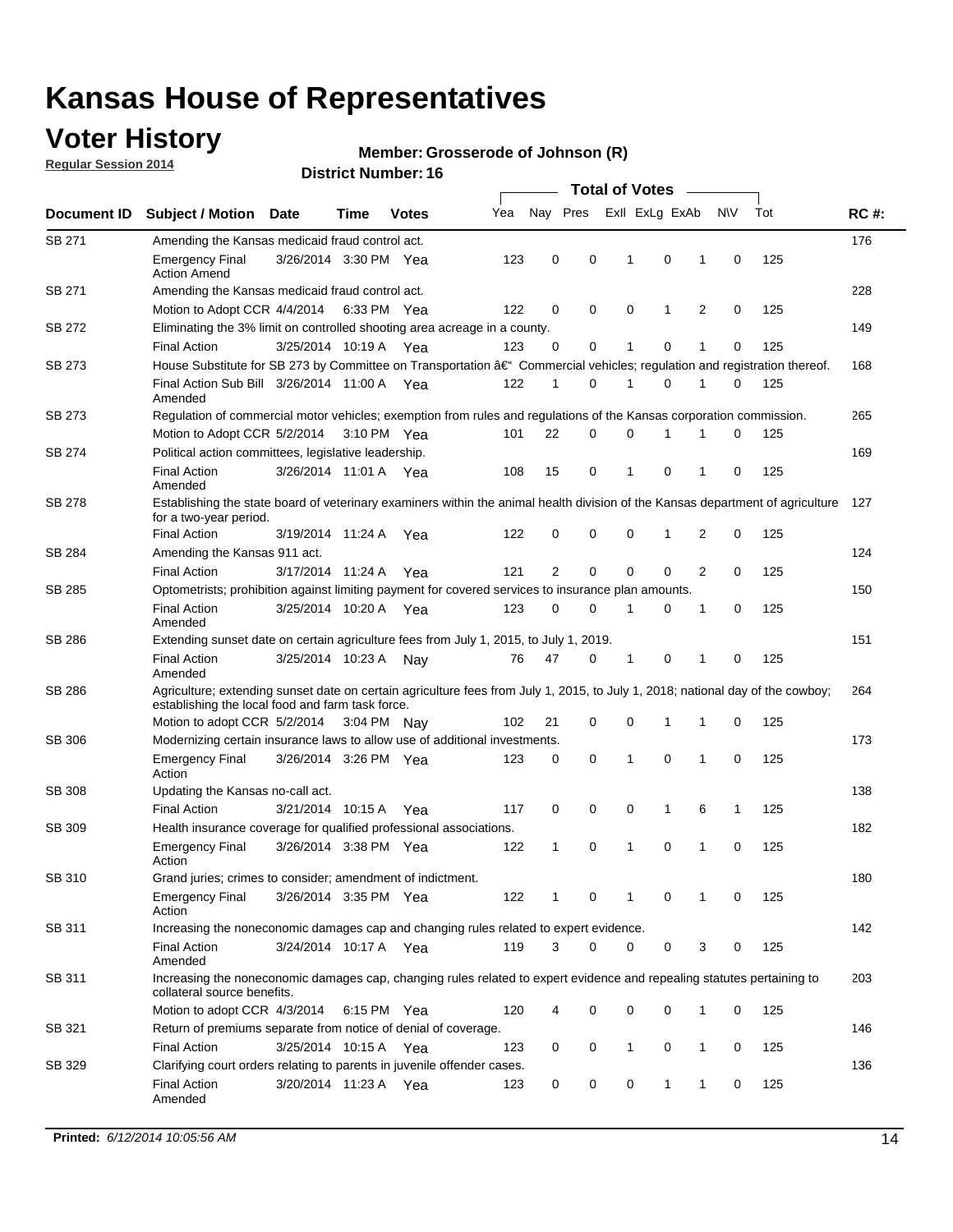## **Voter History**

**Regular Session 2014**

#### **Member: Grosserode of Johnson (R)**

|               |                                                                                                                                                                                    |                       |      |              |     | <b>Total of Votes</b> |   |  |              |                |                |             |     |             |
|---------------|------------------------------------------------------------------------------------------------------------------------------------------------------------------------------------|-----------------------|------|--------------|-----|-----------------------|---|--|--------------|----------------|----------------|-------------|-----|-------------|
| Document ID   | <b>Subject / Motion Date</b>                                                                                                                                                       |                       | Time | <b>Votes</b> | Yea | Nay Pres              |   |  |              | Exll ExLg ExAb |                | <b>NV</b>   | Tot | <b>RC#:</b> |
| SB 271        | Amending the Kansas medicaid fraud control act.                                                                                                                                    |                       |      |              |     |                       |   |  |              |                |                |             |     | 176         |
|               | <b>Emergency Final</b><br><b>Action Amend</b>                                                                                                                                      | 3/26/2014 3:30 PM Yea |      |              | 123 | 0                     | 0 |  | 1            | 0              | 1              | 0           | 125 |             |
| SB 271        | Amending the Kansas medicaid fraud control act.                                                                                                                                    |                       |      |              |     |                       |   |  |              |                |                |             |     | 228         |
|               | Motion to Adopt CCR 4/4/2014 6:33 PM Yea                                                                                                                                           |                       |      |              | 122 | 0                     | 0 |  | 0            | 1              | 2              | 0           | 125 |             |
| SB 272        | Eliminating the 3% limit on controlled shooting area acreage in a county.                                                                                                          |                       |      |              |     |                       |   |  |              |                |                |             |     | 149         |
|               | <b>Final Action</b>                                                                                                                                                                | 3/25/2014 10:19 A Yea |      |              | 123 | 0                     | 0 |  | 1            | 0              | 1              | 0           | 125 |             |
| SB 273        | House Substitute for SB 273 by Committee on Transportation †Commercial vehicles; regulation and registration thereof.                                                              |                       |      |              |     |                       |   |  |              |                |                |             |     | 168         |
|               | Final Action Sub Bill 3/26/2014 11:00 A Yea<br>Amended                                                                                                                             |                       |      |              | 122 | 1                     | 0 |  | 1            | 0              | 1              | 0           | 125 |             |
| SB 273        | Regulation of commercial motor vehicles; exemption from rules and regulations of the Kansas corporation commission.                                                                |                       |      |              |     |                       |   |  |              |                |                |             |     | 265         |
|               | Motion to Adopt CCR 5/2/2014 3:10 PM Yea                                                                                                                                           |                       |      |              | 101 | 22                    | 0 |  | 0            | 1              | 1              | 0           | 125 |             |
| SB 274        | Political action committees, legislative leadership.                                                                                                                               |                       |      |              |     |                       |   |  |              |                |                |             |     | 169         |
|               | <b>Final Action</b><br>Amended                                                                                                                                                     | 3/26/2014 11:01 A Yea |      |              | 108 | 15                    | 0 |  | -1           | 0              | 1              | 0           | 125 |             |
| SB 278        | Establishing the state board of veterinary examiners within the animal health division of the Kansas department of agriculture<br>for a two-year period.                           |                       |      |              |     |                       |   |  |              |                |                |             |     | 127         |
|               | <b>Final Action</b>                                                                                                                                                                | 3/19/2014 11:24 A     |      | Yea          | 122 | 0                     | 0 |  | 0            | 1              | 2              | 0           | 125 |             |
| SB 284        | Amending the Kansas 911 act.                                                                                                                                                       |                       |      |              |     |                       |   |  |              |                |                |             |     | 124         |
|               | <b>Final Action</b>                                                                                                                                                                | 3/17/2014 11:24 A     |      | Yea          | 121 | 2                     | 0 |  | 0            | $\mathbf 0$    | $\overline{2}$ | 0           | 125 |             |
| SB 285        | Optometrists; prohibition against limiting payment for covered services to insurance plan amounts.                                                                                 |                       |      |              |     |                       |   |  |              |                |                |             |     | 150         |
|               | <b>Final Action</b><br>Amended                                                                                                                                                     | 3/25/2014 10:20 A Yea |      |              | 123 | 0                     | 0 |  | $\mathbf 1$  | 0              | 1              | 0           | 125 |             |
| SB 286        | Extending sunset date on certain agriculture fees from July 1, 2015, to July 1, 2019.                                                                                              |                       |      |              |     |                       |   |  |              |                |                |             |     | 151         |
|               | <b>Final Action</b><br>Amended                                                                                                                                                     | 3/25/2014 10:23 A     |      | Nay          | 76  | 47                    | 0 |  | $\mathbf{1}$ | 0              | 1              | $\mathbf 0$ | 125 |             |
| SB 286        | Agriculture; extending sunset date on certain agriculture fees from July 1, 2015, to July 1, 2018; national day of the cowboy;<br>establishing the local food and farm task force. |                       |      |              |     |                       |   |  |              |                |                |             |     | 264         |
|               | Motion to adopt CCR 5/2/2014 3:04 PM Nay                                                                                                                                           |                       |      |              | 102 | 21                    | 0 |  | 0            | $\mathbf 1$    | 1              | 0           | 125 |             |
| SB 306        | Modernizing certain insurance laws to allow use of additional investments.                                                                                                         |                       |      |              |     |                       |   |  |              |                |                |             |     | 173         |
|               | <b>Emergency Final</b><br>Action                                                                                                                                                   | 3/26/2014 3:26 PM Yea |      |              | 123 | 0                     | 0 |  | 1            | $\mathbf 0$    | 1              | 0           | 125 |             |
| <b>SB 308</b> | Updating the Kansas no-call act.                                                                                                                                                   |                       |      |              |     |                       |   |  |              |                |                |             |     | 138         |
|               | <b>Final Action</b>                                                                                                                                                                | 3/21/2014 10:15 A     |      | Yea          | 117 | 0                     | 0 |  | 0            | 1              | 6              | 1           | 125 |             |
| SB 309        | Health insurance coverage for qualified professional associations.                                                                                                                 |                       |      |              |     |                       |   |  |              |                |                |             |     | 182         |
|               | <b>Emergency Final</b><br>Action                                                                                                                                                   | 3/26/2014 3:38 PM Yea |      |              | 122 | 1                     | 0 |  | $\mathbf{1}$ | 0              | 1              | $\mathbf 0$ | 125 |             |
| SB 310        | Grand juries; crimes to consider; amendment of indictment.                                                                                                                         |                       |      |              |     |                       |   |  |              |                |                |             |     | 180         |
|               | <b>Emergency Final</b><br>Action                                                                                                                                                   | 3/26/2014 3:35 PM Yea |      |              | 122 | 1                     | 0 |  | 1            | 0              | 1              | 0           | 125 |             |
| SB 311        | Increasing the noneconomic damages cap and changing rules related to expert evidence.                                                                                              |                       |      |              |     |                       |   |  |              |                |                |             |     | 142         |
|               | <b>Final Action</b><br>Amended                                                                                                                                                     | 3/24/2014 10:17 A Yea |      |              | 119 | 3                     | 0 |  | 0            | 0              | 3              | 0           | 125 |             |
| SB 311        | Increasing the noneconomic damages cap, changing rules related to expert evidence and repealing statutes pertaining to<br>collateral source benefits.                              |                       |      |              |     |                       |   |  |              |                |                |             |     | 203         |
|               | Motion to adopt CCR 4/3/2014 6:15 PM Yea                                                                                                                                           |                       |      |              | 120 | 4                     | 0 |  | 0            | 0              | 1              | 0           | 125 |             |
| SB 321        | Return of premiums separate from notice of denial of coverage.                                                                                                                     |                       |      |              |     |                       |   |  |              |                |                |             |     | 146         |
|               | <b>Final Action</b>                                                                                                                                                                | 3/25/2014 10:15 A Yea |      |              | 123 | 0                     | 0 |  | 1            | 0              | 1              | 0           | 125 |             |
| SB 329        | Clarifying court orders relating to parents in juvenile offender cases.<br><b>Final Action</b><br>Amended                                                                          | 3/20/2014 11:23 A Yea |      |              | 123 | 0                     | 0 |  | 0            | 1              | 1              | 0           | 125 | 136         |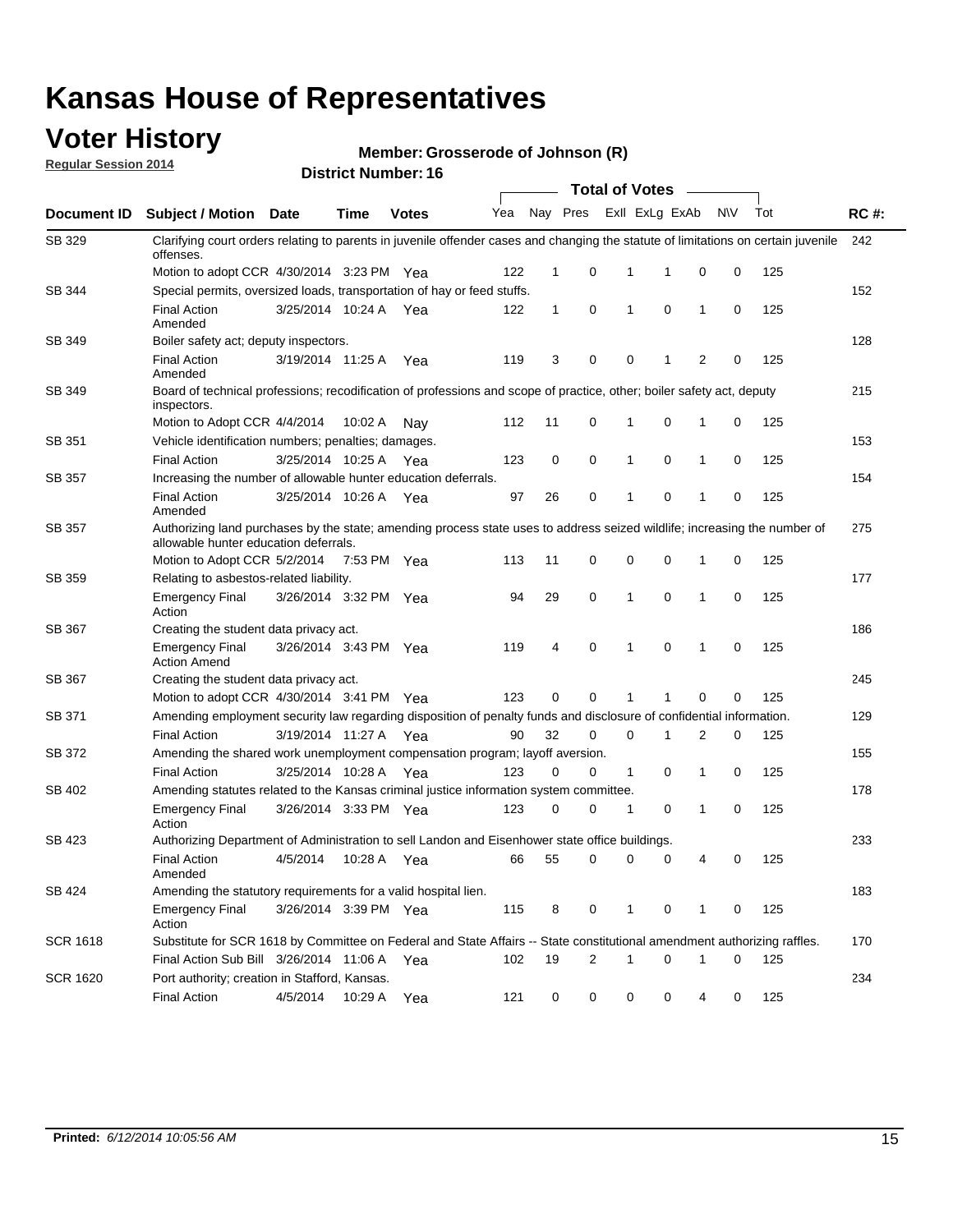## **Voter History**

**Regular Session 2014**

**Member: Grosserode of Johnson (R)** 

|                 | <b>Total of Votes</b>                                                                                                                                                     |                       |             |              |     |              |             |                         |             |              |           |     |             |  |
|-----------------|---------------------------------------------------------------------------------------------------------------------------------------------------------------------------|-----------------------|-------------|--------------|-----|--------------|-------------|-------------------------|-------------|--------------|-----------|-----|-------------|--|
| Document ID     | <b>Subject / Motion</b>                                                                                                                                                   | <b>Date</b>           | Time        | <b>Votes</b> | Yea |              |             | Nay Pres ExII ExLg ExAb |             |              | <b>NV</b> | Tot | <b>RC#:</b> |  |
| SB 329          | Clarifying court orders relating to parents in juvenile offender cases and changing the statute of limitations on certain juvenile<br>offenses.                           |                       |             |              |     |              |             |                         |             |              |           |     | 242         |  |
|                 | Motion to adopt CCR 4/30/2014 3:23 PM Yea                                                                                                                                 |                       |             |              | 122 | 1            | 0           | 1                       | 1           | 0            | 0         | 125 |             |  |
| SB 344          | Special permits, oversized loads, transportation of hay or feed stuffs.                                                                                                   |                       |             |              |     |              |             |                         |             |              |           |     | 152         |  |
|                 | <b>Final Action</b><br>Amended                                                                                                                                            | 3/25/2014 10:24 A     |             | Yea          | 122 | $\mathbf{1}$ | 0           | 1                       | $\mathbf 0$ | 1            | 0         | 125 |             |  |
| SB 349          | Boiler safety act; deputy inspectors.                                                                                                                                     |                       |             |              |     |              |             |                         |             |              |           |     | 128         |  |
|                 | <b>Final Action</b><br>Amended                                                                                                                                            | 3/19/2014 11:25 A     |             | Yea          | 119 | 3            | 0           | 0                       | 1           | 2            | 0         | 125 |             |  |
| SB 349          | Board of technical professions; recodification of professions and scope of practice, other; boiler safety act, deputy<br>inspectors.                                      |                       |             |              |     |              |             |                         |             |              |           |     | 215         |  |
|                 | Motion to Adopt CCR 4/4/2014                                                                                                                                              |                       | 10:02 A     | Nav          | 112 | 11           | 0           | 1                       | 0           | $\mathbf{1}$ | 0         | 125 |             |  |
| SB 351          | Vehicle identification numbers; penalties; damages.                                                                                                                       |                       |             |              |     |              |             |                         |             |              |           |     | 153         |  |
|                 | <b>Final Action</b>                                                                                                                                                       | 3/25/2014 10:25 A     |             | Yea          | 123 | 0            | 0           | 1                       | $\mathbf 0$ | 1            | 0         | 125 |             |  |
| SB 357          | Increasing the number of allowable hunter education deferrals.                                                                                                            |                       |             |              |     |              |             |                         |             |              |           |     | 154         |  |
|                 | <b>Final Action</b><br>Amended                                                                                                                                            | 3/25/2014 10:26 A     |             | Yea          | 97  | 26           | 0           | 1                       | 0           | $\mathbf 1$  | 0         | 125 |             |  |
| SB 357          | 275<br>Authorizing land purchases by the state; amending process state uses to address seized wildlife; increasing the number of<br>allowable hunter education deferrals. |                       |             |              |     |              |             |                         |             |              |           |     |             |  |
|                 | Motion to Adopt CCR 5/2/2014                                                                                                                                              |                       | 7:53 PM Yea |              | 113 | 11           | 0           | 0                       | 0           | 1            | 0         | 125 |             |  |
| SB 359          | Relating to asbestos-related liability.                                                                                                                                   |                       |             |              |     |              |             |                         |             |              |           |     | 177         |  |
|                 | <b>Emergency Final</b><br>Action                                                                                                                                          | 3/26/2014 3:32 PM Yea |             |              | 94  | 29           | 0           | 1                       | 0           | 1            | 0         | 125 |             |  |
| SB 367          | 186<br>Creating the student data privacy act.                                                                                                                             |                       |             |              |     |              |             |                         |             |              |           |     |             |  |
|                 | <b>Emergency Final</b><br><b>Action Amend</b>                                                                                                                             | 3/26/2014 3:43 PM Yea |             |              | 119 | 4            | 0           | 1                       | $\mathbf 0$ | 1            | 0         | 125 |             |  |
| SB 367          | Creating the student data privacy act.                                                                                                                                    |                       |             |              |     |              |             |                         |             |              |           |     | 245         |  |
|                 | Motion to adopt CCR 4/30/2014 3:41 PM Yea                                                                                                                                 |                       |             |              | 123 | 0            | 0           | 1                       | 1           | $\mathbf 0$  | 0         | 125 |             |  |
| SB 371          | Amending employment security law regarding disposition of penalty funds and disclosure of confidential information.                                                       |                       |             |              |     |              |             |                         |             |              |           |     | 129         |  |
|                 | <b>Final Action</b>                                                                                                                                                       | 3/19/2014 11:27 A Yea |             |              | 90  | 32           | $\mathbf 0$ | 0                       | 1           | 2            | 0         | 125 |             |  |
| SB 372          | Amending the shared work unemployment compensation program; layoff aversion.                                                                                              |                       |             |              |     |              |             |                         |             |              |           |     | 155         |  |
|                 | <b>Final Action</b>                                                                                                                                                       | 3/25/2014 10:28 A     |             | Yea          | 123 | 0            | 0           | $\mathbf{1}$            | 0           | 1            | 0         | 125 |             |  |
| SB 402          | Amending statutes related to the Kansas criminal justice information system committee.                                                                                    |                       |             |              |     |              |             |                         |             |              |           |     | 178         |  |
|                 | <b>Emergency Final</b><br>Action                                                                                                                                          | 3/26/2014 3:33 PM Yea |             |              | 123 | 0            | 0           | 1                       | 0           | 1            | 0         | 125 |             |  |
| SB 423          | Authorizing Department of Administration to sell Landon and Eisenhower state office buildings.                                                                            |                       |             |              |     |              |             |                         |             |              |           |     | 233         |  |
|                 | <b>Final Action</b><br>Amended                                                                                                                                            | 4/5/2014              | 10:28 A     | Yea          | 66  | 55           | 0           | 0                       | $\mathbf 0$ | 4            | 0         | 125 |             |  |
| SB 424          | Amending the statutory requirements for a valid hospital lien.                                                                                                            |                       |             |              |     |              |             |                         |             |              |           |     | 183         |  |
|                 | <b>Emergency Final</b><br>Action                                                                                                                                          | 3/26/2014 3:39 PM Yea |             |              | 115 | 8            | 0           | $\mathbf{1}$            | 0           | 1            | 0         | 125 |             |  |
| <b>SCR 1618</b> | Substitute for SCR 1618 by Committee on Federal and State Affairs -- State constitutional amendment authorizing raffles.                                                  |                       |             |              |     |              |             |                         |             |              |           |     | 170         |  |
|                 | Final Action Sub Bill 3/26/2014 11:06 A Yea                                                                                                                               |                       |             |              | 102 | 19           | 2           | 1                       | 0           | $\mathbf{1}$ | 0         | 125 |             |  |
| <b>SCR 1620</b> | Port authority; creation in Stafford, Kansas.                                                                                                                             |                       |             |              |     |              |             |                         |             |              |           |     | 234         |  |
|                 | <b>Final Action</b>                                                                                                                                                       | 4/5/2014              | 10:29 A     | Yea          | 121 | 0            | 0           | 0                       | 0           | 4            | 0         | 125 |             |  |